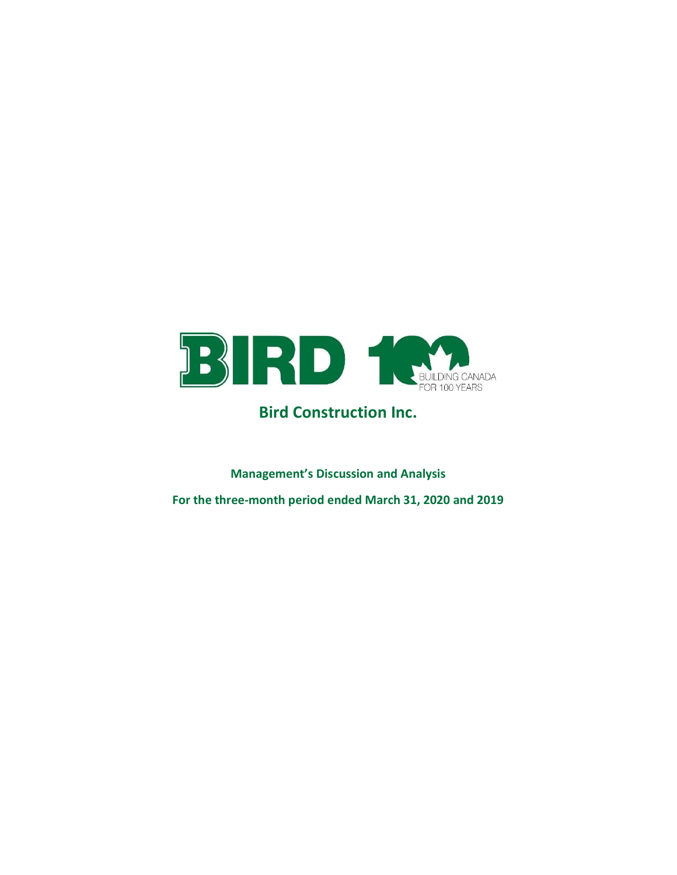

# Bird Construction Inc.

Management's Discussion and Analysis For the three-month period ended March 31, 2020 and 2019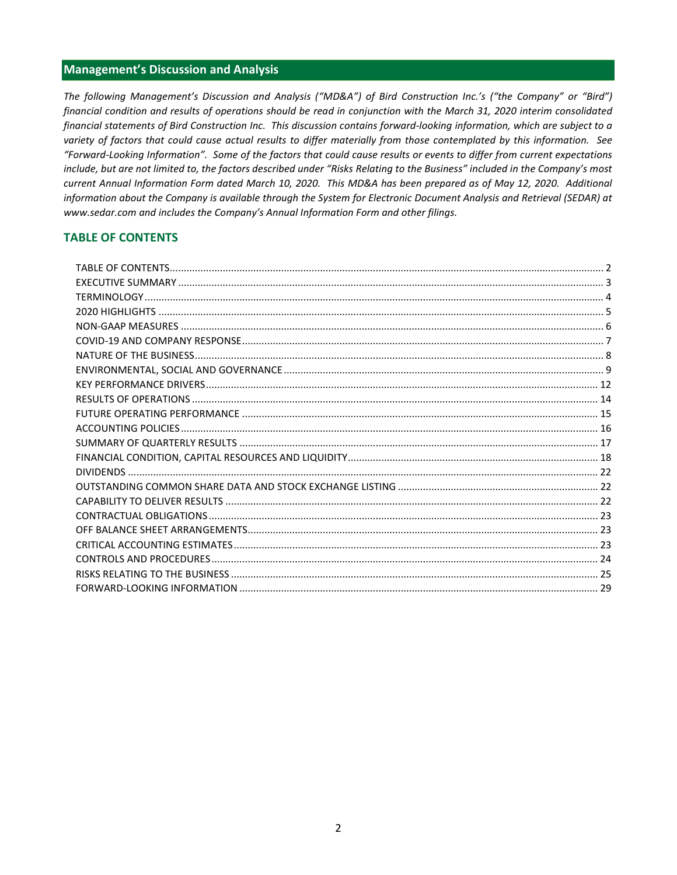# Management's Discussion and Analysis

The following Management's Discussion and Analysis ("MD&A") of Bird Construction Inc.'s ("the Company" or "Bird") financial condition and results of operations should be read in conjunction with the March 31, 2020 interim consolidated financial statements of Bird Construction Inc. This discussion contains forward-looking information, which are subject to a variety of factors that could cause actual results to differ materially from those contemplated by this information. See "Forward-Looking Information". Some of the factors that could cause results or events to differ from current expectations include, but are not limited to, the factors described under "Risks Relating to the Business" included in the Company's most current Annual Information Form dated March 10, 2020. This MD&A has been prepared as of May 12, 2020. Additional information about the Company is available through the System for Electronic Document Analysis and Retrieval (SEDAR) at www.sedar.com and includes the Company's Annual Information Form and other filings.

# TABLE OF CONTENTS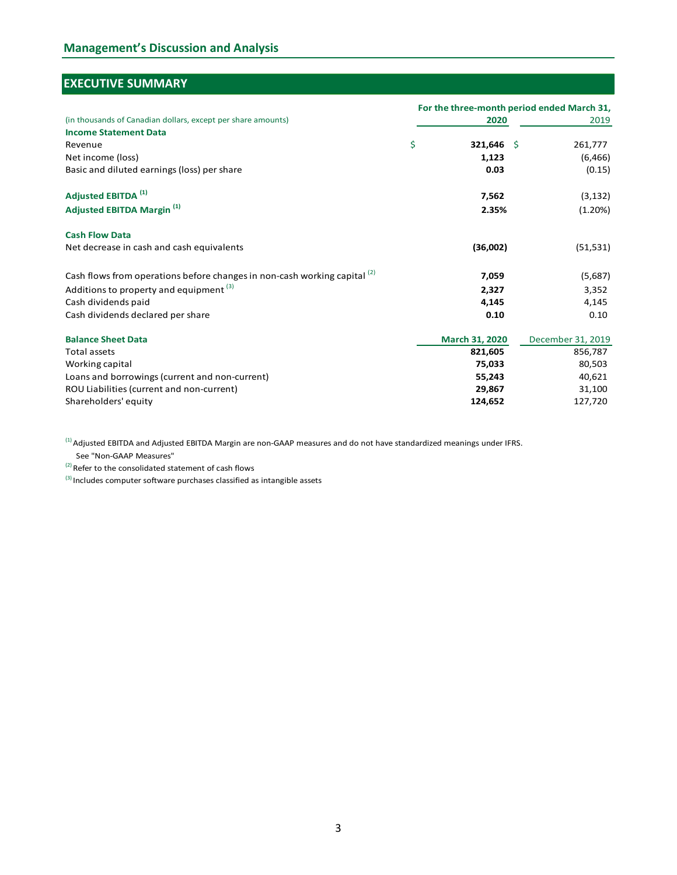# EXECUTIVE SUMMARY

| <b>EXECUTIVE SUMMARY</b>                                                  |                  |                                            |
|---------------------------------------------------------------------------|------------------|--------------------------------------------|
|                                                                           |                  | For the three-month period ended March 31, |
| (in thousands of Canadian dollars, except per share amounts)              | 2020             | 2019                                       |
| <b>Income Statement Data</b>                                              |                  |                                            |
| Revenue                                                                   | \$<br>321,646 \$ | 261,777                                    |
| Net income (loss)                                                         | 1,123            | (6, 466)                                   |
| Basic and diluted earnings (loss) per share                               | 0.03             | (0.15)                                     |
| Adjusted EBITDA <sup>(1)</sup>                                            | 7,562            | (3, 132)                                   |
| <b>Adjusted EBITDA Margin (1)</b>                                         | 2.35%            | (1.20%)                                    |
| <b>Cash Flow Data</b>                                                     |                  |                                            |
| Net decrease in cash and cash equivalents                                 | (36,002)         | (51, 531)                                  |
| Cash flows from operations before changes in non-cash working capital (2) | 7,059            | (5,687)                                    |
| Additions to property and equipment (3)                                   | 2,327            | 3,352                                      |
| Cash dividends paid                                                       | 4,145            | 4,145                                      |
| Cash dividends declared per share                                         | 0.10             | 0.10                                       |
| <b>Balance Sheet Data</b>                                                 | March 31, 2020   | December 31, 2019                          |
| Total assets                                                              | 821,605          | 856,787                                    |
| Working capital                                                           | 75,033           | 80,503                                     |
| Loans and borrowings (current and non-current)                            | 55,243           | 40,621                                     |
| ROU Liabilities (current and non-current)                                 | 29,867           | 31,100                                     |
| Shareholders' equity                                                      | 124,652          | 127,720                                    |

(1) Adjusted EBITDA and Adjusted EBITDA Margin are non-GAAP measures and do not have standardized meanings under IFRS.<br>See "Non-GAAP Measures"<br>(2) Refer to the consolidated statement of cash flows

See "Non-GAAP Measures"

 $^{(3)}$  Includes computer software purchases classified as intangible assets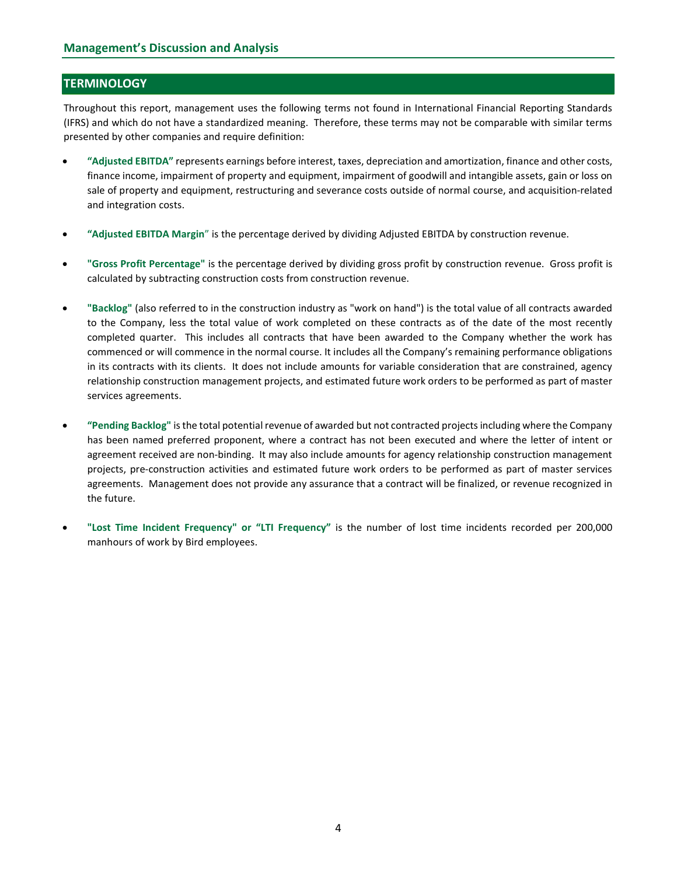# **TERMINOLOGY**

Throughout this report, management uses the following terms not found in International Financial Reporting Standards (IFRS) and which do not have a standardized meaning. Therefore, these terms may not be comparable with similar terms presented by other companies and require definition:

- "Adjusted EBITDA" represents earnings before interest, taxes, depreciation and amortization, finance and other costs, finance income, impairment of property and equipment, impairment of goodwill and intangible assets, gain or loss on sale of property and equipment, restructuring and severance costs outside of normal course, and acquisition-related and integration costs.
- "Adjusted EBITDA Margin" is the percentage derived by dividing Adjusted EBITDA by construction revenue.
- "Gross Profit Percentage" is the percentage derived by dividing gross profit by construction revenue. Gross profit is calculated by subtracting construction costs from construction revenue.
- "Backlog" (also referred to in the construction industry as "work on hand") is the total value of all contracts awarded to the Company, less the total value of work completed on these contracts as of the date of the most recently completed quarter. This includes all contracts that have been awarded to the Company whether the work has commenced or will commence in the normal course. It includes all the Company's remaining performance obligations in its contracts with its clients. It does not include amounts for variable consideration that are constrained, agency relationship construction management projects, and estimated future work orders to be performed as part of master services agreements.
- "Pending Backlog" is the total potential revenue of awarded but not contracted projects including where the Company has been named preferred proponent, where a contract has not been executed and where the letter of intent or agreement received are non-binding. It may also include amounts for agency relationship construction management projects, pre-construction activities and estimated future work orders to be performed as part of master services agreements. Management does not provide any assurance that a contract will be finalized, or revenue recognized in the future.
- "Lost Time Incident Frequency" or "LTI Frequency" is the number of lost time incidents recorded per 200,000 manhours of work by Bird employees.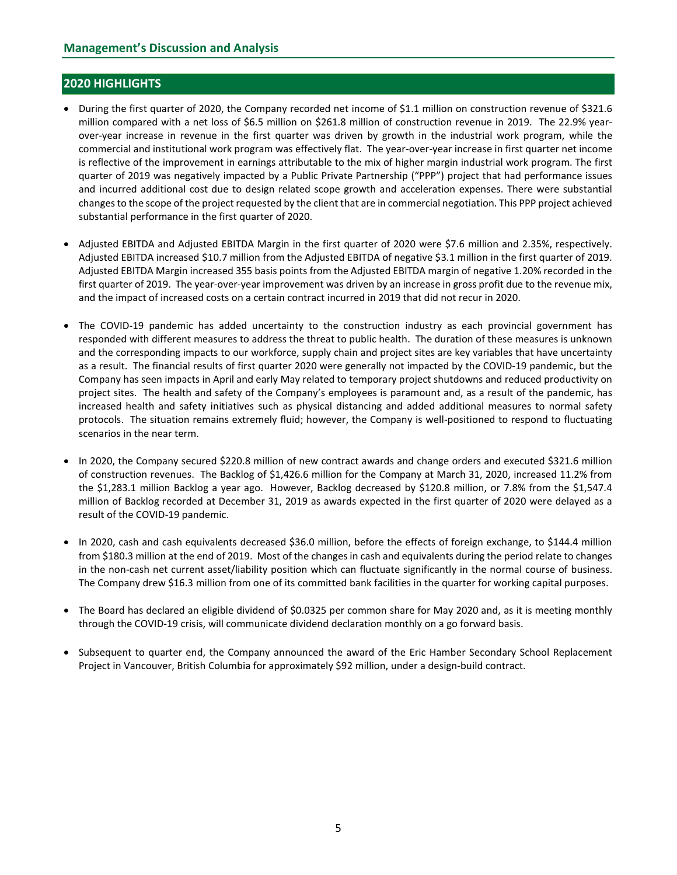# 2020 HIGHLIGHTS

- During the first quarter of 2020, the Company recorded net income of \$1.1 million on construction revenue of \$321.6 million compared with a net loss of \$6.5 million on \$261.8 million of construction revenue in 2019. The 22.9% yearover-year increase in revenue in the first quarter was driven by growth in the industrial work program, while the commercial and institutional work program was effectively flat. The year-over-year increase in first quarter net income is reflective of the improvement in earnings attributable to the mix of higher margin industrial work program. The first quarter of 2019 was negatively impacted by a Public Private Partnership ("PPP") project that had performance issues and incurred additional cost due to design related scope growth and acceleration expenses. There were substantial changes to the scope of the project requested by the client that are in commercial negotiation. This PPP project achieved substantial performance in the first quarter of 2020.
- Adjusted EBITDA and Adjusted EBITDA Margin in the first quarter of 2020 were \$7.6 million and 2.35%, respectively. Adjusted EBITDA increased \$10.7 million from the Adjusted EBITDA of negative \$3.1 million in the first quarter of 2019. Adjusted EBITDA Margin increased 355 basis points from the Adjusted EBITDA margin of negative 1.20% recorded in the first quarter of 2019. The year-over-year improvement was driven by an increase in gross profit due to the revenue mix, and the impact of increased costs on a certain contract incurred in 2019 that did not recur in 2020.
- The COVID-19 pandemic has added uncertainty to the construction industry as each provincial government has responded with different measures to address the threat to public health. The duration of these measures is unknown and the corresponding impacts to our workforce, supply chain and project sites are key variables that have uncertainty as a result. The financial results of first quarter 2020 were generally not impacted by the COVID-19 pandemic, but the Company has seen impacts in April and early May related to temporary project shutdowns and reduced productivity on project sites. The health and safety of the Company's employees is paramount and, as a result of the pandemic, has increased health and safety initiatives such as physical distancing and added additional measures to normal safety protocols. The situation remains extremely fluid; however, the Company is well-positioned to respond to fluctuating scenarios in the near term.
- In 2020, the Company secured \$220.8 million of new contract awards and change orders and executed \$321.6 million of construction revenues. The Backlog of \$1,426.6 million for the Company at March 31, 2020, increased 11.2% from the \$1,283.1 million Backlog a year ago. However, Backlog decreased by \$120.8 million, or 7.8% from the \$1,547.4 million of Backlog recorded at December 31, 2019 as awards expected in the first quarter of 2020 were delayed as a result of the COVID-19 pandemic.
- In 2020, cash and cash equivalents decreased \$36.0 million, before the effects of foreign exchange, to \$144.4 million from \$180.3 million at the end of 2019. Most of the changes in cash and equivalents during the period relate to changes in the non-cash net current asset/liability position which can fluctuate significantly in the normal course of business. The Company drew \$16.3 million from one of its committed bank facilities in the quarter for working capital purposes.
- The Board has declared an eligible dividend of \$0.0325 per common share for May 2020 and, as it is meeting monthly through the COVID-19 crisis, will communicate dividend declaration monthly on a go forward basis.
- Subsequent to quarter end, the Company announced the award of the Eric Hamber Secondary School Replacement Project in Vancouver, British Columbia for approximately \$92 million, under a design-build contract.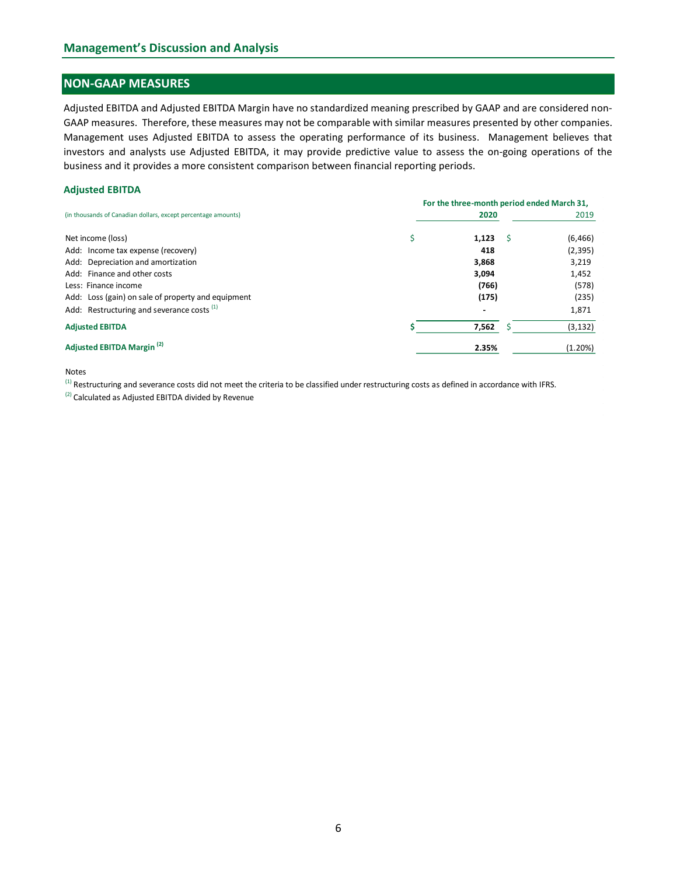# NON-GAAP MEASURES

#### Adjusted EBITDA

| Adjusted EBITDA and Adjusted EBITDA Margin have no standardized meaning prescribed by GAAP and are considered non-                                                                                                  |                                            |                   |
|---------------------------------------------------------------------------------------------------------------------------------------------------------------------------------------------------------------------|--------------------------------------------|-------------------|
| GAAP measures. Therefore, these measures may not be comparable with similar measures presented by other companies.                                                                                                  |                                            |                   |
| Management uses Adjusted EBITDA to assess the operating performance of its business. Management believes that                                                                                                       |                                            |                   |
| investors and analysts use Adjusted EBITDA, it may provide predictive value to assess the on-going operations of the                                                                                                |                                            |                   |
| business and it provides a more consistent comparison between financial reporting periods.                                                                                                                          |                                            |                   |
| <b>Adjusted EBITDA</b>                                                                                                                                                                                              |                                            |                   |
|                                                                                                                                                                                                                     | For the three-month period ended March 31, |                   |
| (in thousands of Canadian dollars, except percentage amounts)                                                                                                                                                       | 2020                                       | 2019              |
|                                                                                                                                                                                                                     |                                            |                   |
| Net income (loss)                                                                                                                                                                                                   | \$<br>1,123                                | (6, 466)          |
| Add: Income tax expense (recovery)<br>Add: Depreciation and amortization                                                                                                                                            | 418<br>3,868                               | (2, 395)<br>3,219 |
| Add: Finance and other costs                                                                                                                                                                                        | 3,094                                      | 1,452             |
| Less: Finance income                                                                                                                                                                                                | (766)                                      | (578)             |
| Add: Loss (gain) on sale of property and equipment                                                                                                                                                                  | (175)                                      | (235)             |
| Add: Restructuring and severance costs <sup>(1)</sup>                                                                                                                                                               |                                            | 1,871             |
| <b>Adjusted EBITDA</b>                                                                                                                                                                                              | 7,562<br>Ŝ.                                | (3, 132)          |
|                                                                                                                                                                                                                     |                                            |                   |
| Adjusted EBITDA Margin <sup>(2)</sup>                                                                                                                                                                               | 2.35%                                      | (1.20%)           |
| <b>Notes</b>                                                                                                                                                                                                        |                                            |                   |
|                                                                                                                                                                                                                     |                                            |                   |
| $(1)$ Restructuring and severance costs did not meet the criteria to be classified under restructuring costs as defined in accordance with IFRS.<br><sup>(2)</sup> Calculated as Adjusted EBITDA divided by Revenue |                                            |                   |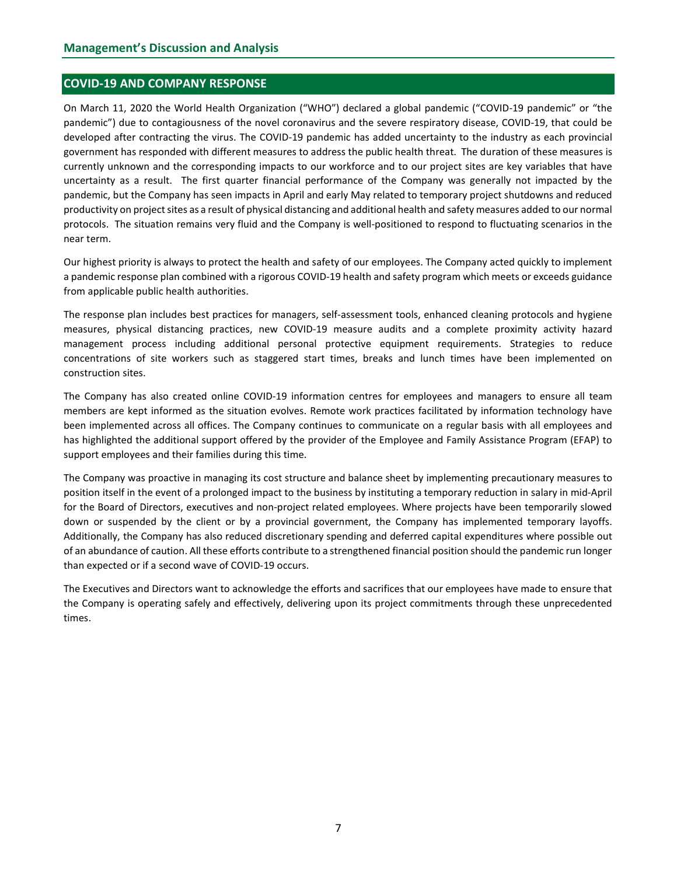### COVID-19 AND COMPANY RESPONSE

On March 11, 2020 the World Health Organization ("WHO") declared a global pandemic ("COVID-19 pandemic" or "the pandemic") due to contagiousness of the novel coronavirus and the severe respiratory disease, COVID-19, that could be developed after contracting the virus. The COVID-19 pandemic has added uncertainty to the industry as each provincial government has responded with different measures to address the public health threat. The duration of these measures is currently unknown and the corresponding impacts to our workforce and to our project sites are key variables that have uncertainty as a result. The first quarter financial performance of the Company was generally not impacted by the pandemic, but the Company has seen impacts in April and early May related to temporary project shutdowns and reduced productivity on project sites as a result of physical distancing and additional health and safety measures added to our normal protocols. The situation remains very fluid and the Company is well-positioned to respond to fluctuating scenarios in the near term.

Our highest priority is always to protect the health and safety of our employees. The Company acted quickly to implement a pandemic response plan combined with a rigorous COVID-19 health and safety program which meets or exceeds guidance from applicable public health authorities.

The response plan includes best practices for managers, self-assessment tools, enhanced cleaning protocols and hygiene measures, physical distancing practices, new COVID-19 measure audits and a complete proximity activity hazard management process including additional personal protective equipment requirements. Strategies to reduce concentrations of site workers such as staggered start times, breaks and lunch times have been implemented on construction sites.

The Company has also created online COVID-19 information centres for employees and managers to ensure all team members are kept informed as the situation evolves. Remote work practices facilitated by information technology have been implemented across all offices. The Company continues to communicate on a regular basis with all employees and has highlighted the additional support offered by the provider of the Employee and Family Assistance Program (EFAP) to support employees and their families during this time.

The Company was proactive in managing its cost structure and balance sheet by implementing precautionary measures to position itself in the event of a prolonged impact to the business by instituting a temporary reduction in salary in mid-April for the Board of Directors, executives and non-project related employees. Where projects have been temporarily slowed down or suspended by the client or by a provincial government, the Company has implemented temporary layoffs. Additionally, the Company has also reduced discretionary spending and deferred capital expenditures where possible out of an abundance of caution. All these efforts contribute to a strengthened financial position should the pandemic run longer than expected or if a second wave of COVID-19 occurs.

The Executives and Directors want to acknowledge the efforts and sacrifices that our employees have made to ensure that the Company is operating safely and effectively, delivering upon its project commitments through these unprecedented times.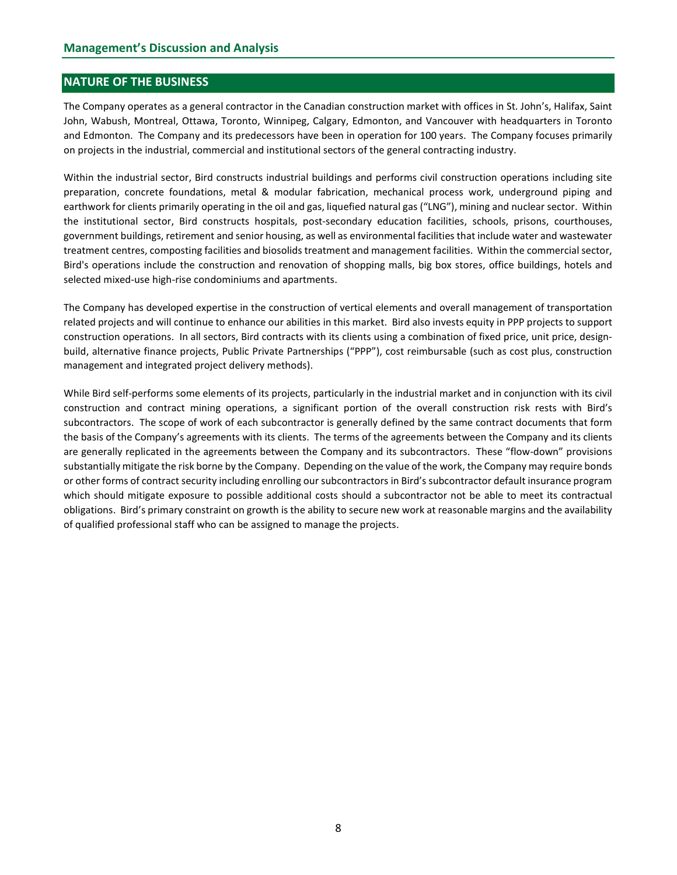# NATURE OF THE BUSINESS

The Company operates as a general contractor in the Canadian construction market with offices in St. John's, Halifax, Saint John, Wabush, Montreal, Ottawa, Toronto, Winnipeg, Calgary, Edmonton, and Vancouver with headquarters in Toronto and Edmonton. The Company and its predecessors have been in operation for 100 years. The Company focuses primarily on projects in the industrial, commercial and institutional sectors of the general contracting industry.

Within the industrial sector, Bird constructs industrial buildings and performs civil construction operations including site preparation, concrete foundations, metal & modular fabrication, mechanical process work, underground piping and earthwork for clients primarily operating in the oil and gas, liquefied natural gas ("LNG"), mining and nuclear sector. Within the institutional sector, Bird constructs hospitals, post-secondary education facilities, schools, prisons, courthouses, government buildings, retirement and senior housing, as well as environmental facilities that include water and wastewater treatment centres, composting facilities and biosolids treatment and management facilities. Within the commercial sector, Bird's operations include the construction and renovation of shopping malls, big box stores, office buildings, hotels and selected mixed-use high-rise condominiums and apartments.

The Company has developed expertise in the construction of vertical elements and overall management of transportation related projects and will continue to enhance our abilities in this market. Bird also invests equity in PPP projects to support construction operations. In all sectors, Bird contracts with its clients using a combination of fixed price, unit price, designbuild, alternative finance projects, Public Private Partnerships ("PPP"), cost reimbursable (such as cost plus, construction management and integrated project delivery methods).

While Bird self-performs some elements of its projects, particularly in the industrial market and in conjunction with its civil construction and contract mining operations, a significant portion of the overall construction risk rests with Bird's subcontractors. The scope of work of each subcontractor is generally defined by the same contract documents that form the basis of the Company's agreements with its clients. The terms of the agreements between the Company and its clients are generally replicated in the agreements between the Company and its subcontractors. These "flow-down" provisions substantially mitigate the risk borne by the Company. Depending on the value of the work, the Company may require bonds or other forms of contract security including enrolling our subcontractors in Bird's subcontractor default insurance program which should mitigate exposure to possible additional costs should a subcontractor not be able to meet its contractual obligations. Bird's primary constraint on growth is the ability to secure new work at reasonable margins and the availability of qualified professional staff who can be assigned to manage the projects.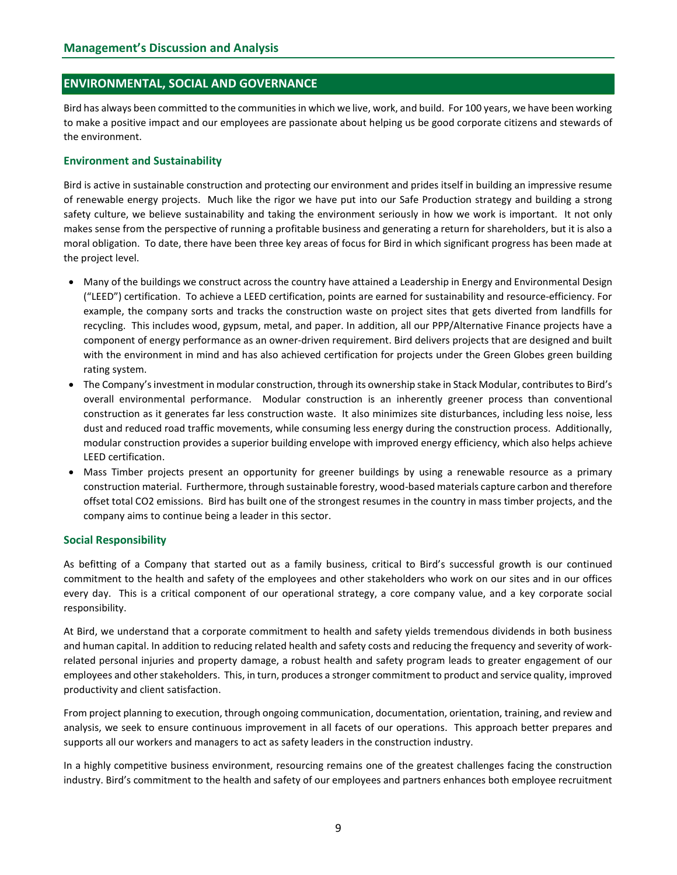# ENVIRONMENTAL, SOCIAL AND GOVERNANCE

Bird has always been committed to the communities in which we live, work, and build. For 100 years, we have been working to make a positive impact and our employees are passionate about helping us be good corporate citizens and stewards of the environment.

#### Environment and Sustainability

Bird is active in sustainable construction and protecting our environment and prides itself in building an impressive resume of renewable energy projects. Much like the rigor we have put into our Safe Production strategy and building a strong safety culture, we believe sustainability and taking the environment seriously in how we work is important. It not only makes sense from the perspective of running a profitable business and generating a return for shareholders, but it is also a moral obligation. To date, there have been three key areas of focus for Bird in which significant progress has been made at the project level.

- Many of the buildings we construct across the country have attained a Leadership in Energy and Environmental Design ("LEED") certification. To achieve a LEED certification, points are earned for sustainability and resource-efficiency. For example, the company sorts and tracks the construction waste on project sites that gets diverted from landfills for recycling. This includes wood, gypsum, metal, and paper. In addition, all our PPP/Alternative Finance projects have a component of energy performance as an owner-driven requirement. Bird delivers projects that are designed and built with the environment in mind and has also achieved certification for projects under the Green Globes green building rating system.
- The Company's investment in modular construction, through its ownership stake in Stack Modular, contributes to Bird's overall environmental performance. Modular construction is an inherently greener process than conventional construction as it generates far less construction waste. It also minimizes site disturbances, including less noise, less dust and reduced road traffic movements, while consuming less energy during the construction process. Additionally, modular construction provides a superior building envelope with improved energy efficiency, which also helps achieve LEED certification.
- Mass Timber projects present an opportunity for greener buildings by using a renewable resource as a primary construction material. Furthermore, through sustainable forestry, wood-based materials capture carbon and therefore offset total CO2 emissions. Bird has built one of the strongest resumes in the country in mass timber projects, and the company aims to continue being a leader in this sector.

#### Social Responsibility

As befitting of a Company that started out as a family business, critical to Bird's successful growth is our continued commitment to the health and safety of the employees and other stakeholders who work on our sites and in our offices every day. This is a critical component of our operational strategy, a core company value, and a key corporate social responsibility.

At Bird, we understand that a corporate commitment to health and safety yields tremendous dividends in both business and human capital. In addition to reducing related health and safety costs and reducing the frequency and severity of workrelated personal injuries and property damage, a robust health and safety program leads to greater engagement of our employees and other stakeholders. This, in turn, produces a stronger commitment to product and service quality, improved productivity and client satisfaction.

From project planning to execution, through ongoing communication, documentation, orientation, training, and review and analysis, we seek to ensure continuous improvement in all facets of our operations. This approach better prepares and supports all our workers and managers to act as safety leaders in the construction industry.

In a highly competitive business environment, resourcing remains one of the greatest challenges facing the construction industry. Bird's commitment to the health and safety of our employees and partners enhances both employee recruitment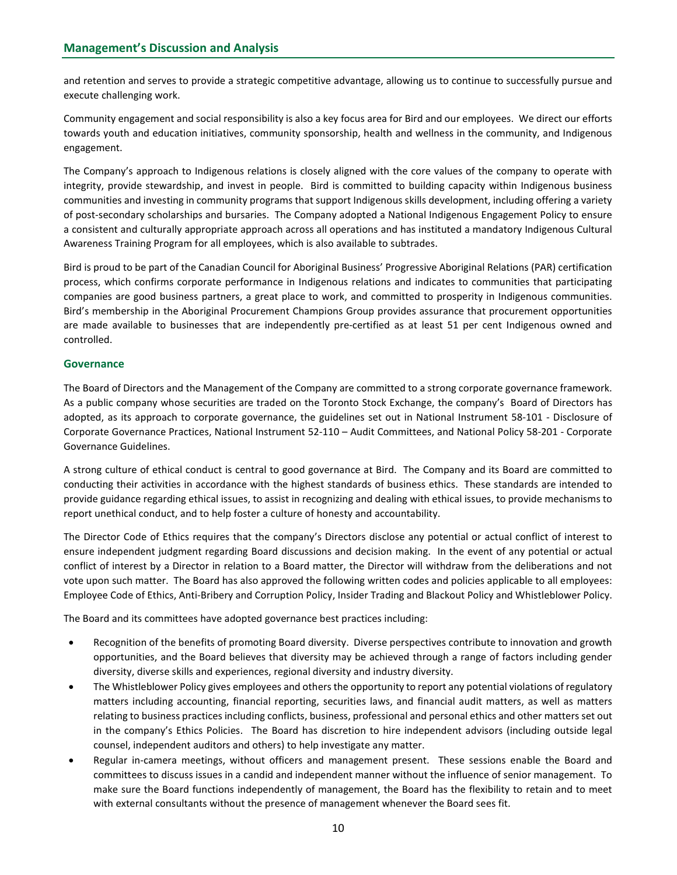and retention and serves to provide a strategic competitive advantage, allowing us to continue to successfully pursue and execute challenging work.

Community engagement and social responsibility is also a key focus area for Bird and our employees. We direct our efforts towards youth and education initiatives, community sponsorship, health and wellness in the community, and Indigenous engagement.

The Company's approach to Indigenous relations is closely aligned with the core values of the company to operate with integrity, provide stewardship, and invest in people. Bird is committed to building capacity within Indigenous business communities and investing in community programs that support Indigenous skills development, including offering a variety of post-secondary scholarships and bursaries. The Company adopted a National Indigenous Engagement Policy to ensure a consistent and culturally appropriate approach across all operations and has instituted a mandatory Indigenous Cultural Awareness Training Program for all employees, which is also available to subtrades.

Bird is proud to be part of the Canadian Council for Aboriginal Business' Progressive Aboriginal Relations (PAR) certification process, which confirms corporate performance in Indigenous relations and indicates to communities that participating companies are good business partners, a great place to work, and committed to prosperity in Indigenous communities. Bird's membership in the Aboriginal Procurement Champions Group provides assurance that procurement opportunities are made available to businesses that are independently pre-certified as at least 51 per cent Indigenous owned and controlled.

# **Governance**

The Board of Directors and the Management of the Company are committed to a strong corporate governance framework. As a public company whose securities are traded on the Toronto Stock Exchange, the company's Board of Directors has adopted, as its approach to corporate governance, the guidelines set out in National Instrument 58-101 - Disclosure of Corporate Governance Practices, National Instrument 52-110 – Audit Committees, and National Policy 58-201 - Corporate Governance Guidelines.

A strong culture of ethical conduct is central to good governance at Bird. The Company and its Board are committed to conducting their activities in accordance with the highest standards of business ethics. These standards are intended to provide guidance regarding ethical issues, to assist in recognizing and dealing with ethical issues, to provide mechanisms to report unethical conduct, and to help foster a culture of honesty and accountability.

The Director Code of Ethics requires that the company's Directors disclose any potential or actual conflict of interest to ensure independent judgment regarding Board discussions and decision making. In the event of any potential or actual conflict of interest by a Director in relation to a Board matter, the Director will withdraw from the deliberations and not vote upon such matter. The Board has also approved the following written codes and policies applicable to all employees: Employee Code of Ethics, Anti-Bribery and Corruption Policy, Insider Trading and Blackout Policy and Whistleblower Policy.

The Board and its committees have adopted governance best practices including:

- Recognition of the benefits of promoting Board diversity. Diverse perspectives contribute to innovation and growth opportunities, and the Board believes that diversity may be achieved through a range of factors including gender diversity, diverse skills and experiences, regional diversity and industry diversity.
- The Whistleblower Policy gives employees and others the opportunity to report any potential violations of regulatory matters including accounting, financial reporting, securities laws, and financial audit matters, as well as matters relating to business practices including conflicts, business, professional and personal ethics and other matters set out in the company's Ethics Policies. The Board has discretion to hire independent advisors (including outside legal counsel, independent auditors and others) to help investigate any matter.
- Regular in-camera meetings, without officers and management present. These sessions enable the Board and committees to discuss issues in a candid and independent manner without the influence of senior management. To make sure the Board functions independently of management, the Board has the flexibility to retain and to meet with external consultants without the presence of management whenever the Board sees fit.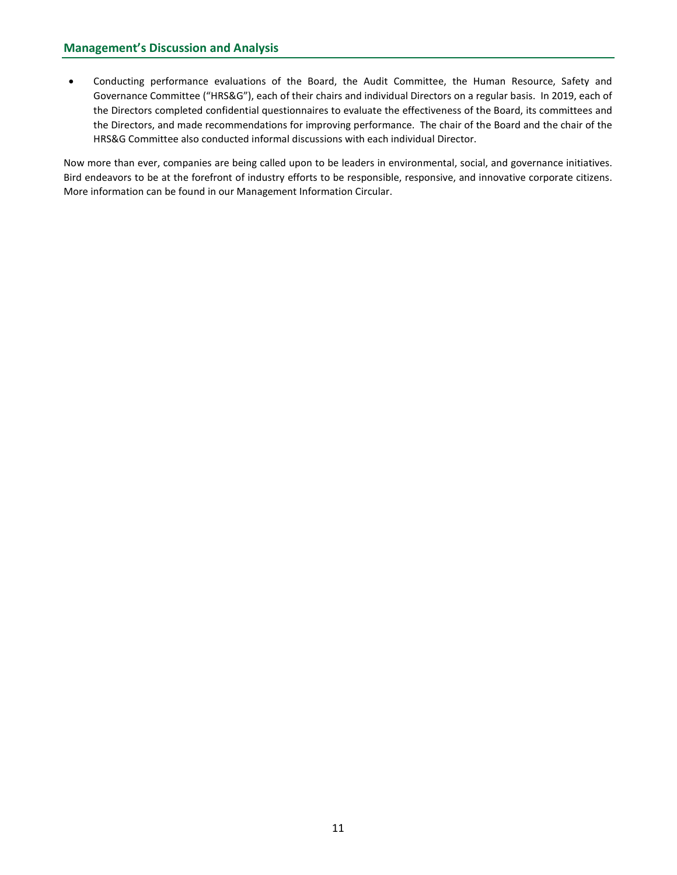Conducting performance evaluations of the Board, the Audit Committee, the Human Resource, Safety and Governance Committee ("HRS&G"), each of their chairs and individual Directors on a regular basis. In 2019, each of the Directors completed confidential questionnaires to evaluate the effectiveness of the Board, its committees and the Directors, and made recommendations for improving performance. The chair of the Board and the chair of the HRS&G Committee also conducted informal discussions with each individual Director.

Now more than ever, companies are being called upon to be leaders in environmental, social, and governance initiatives. Bird endeavors to be at the forefront of industry efforts to be responsible, responsive, and innovative corporate citizens. More information can be found in our Management Information Circular.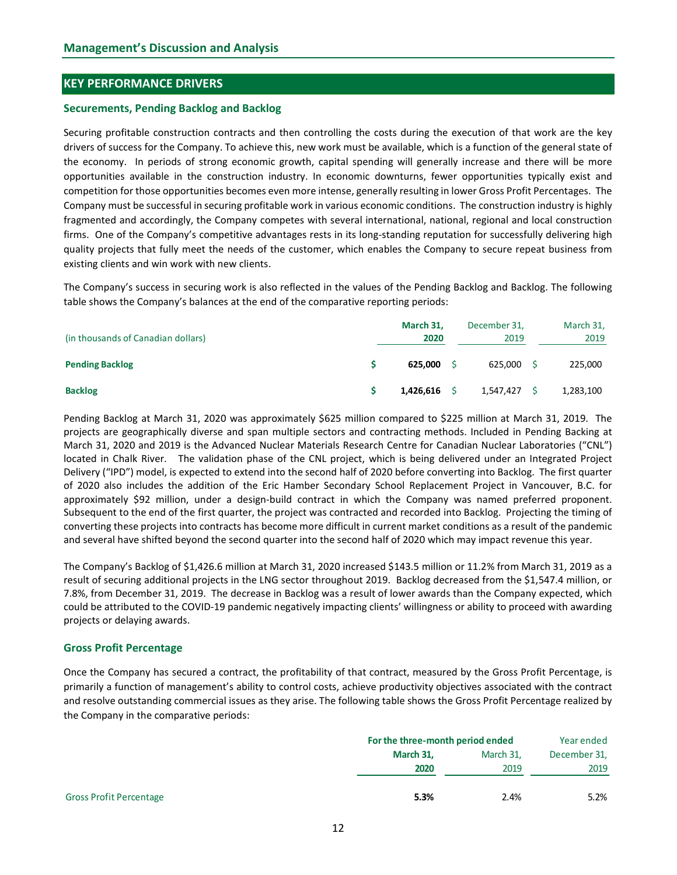# KEY PERFORMANCE DRIVERS

#### Securements, Pending Backlog and Backlog

Securing profitable construction contracts and then controlling the costs during the execution of that work are the key drivers of success for the Company. To achieve this, new work must be available, which is a function of the general state of the economy. In periods of strong economic growth, capital spending will generally increase and there will be more opportunities available in the construction industry. In economic downturns, fewer opportunities typically exist and competition for those opportunities becomes even more intense, generally resulting in lower Gross Profit Percentages. The Company must be successful in securing profitable work in various economic conditions. The construction industry is highly fragmented and accordingly, the Company competes with several international, national, regional and local construction firms. One of the Company's competitive advantages rests in its long-standing reputation for successfully delivering high quality projects that fully meet the needs of the customer, which enables the Company to secure repeat business from existing clients and win work with new clients. Example materials and the model of the controlling the costs during the execution of that work are the key<br>escurring profitable construction contracts and then controlling the costs during the execution of the two where th Securing profitable construction contracts and then controlling the costs during the osecution of that work are the key<br>site of success for the Company. To achieve this, new work must be available, which is a function of t

The Company's success in securing work is also reflected in the values of the Pending Backlog and Backlog. The following table shows the Company's balances at the end of the comparative reporting periods:

| (in thousands of Canadian dollars) | March 31,<br>2020 | December 31,<br>2019 | March 31,<br>2019 |  |
|------------------------------------|-------------------|----------------------|-------------------|--|
| <b>Pending Backlog</b>             | 625,000           | 625,000              | 225,000           |  |
| <b>Backlog</b>                     | 1,426,616         | 1,547,427            | 1,283,100         |  |

Pending Backlog at March 31, 2020 was approximately \$625 million compared to \$225 million at March 31, 2019. The projects are geographically diverse and span multiple sectors and contracting methods. Included in Pending Backing at March 31, 2020 and 2019 is the Advanced Nuclear Materials Research Centre for Canadian Nuclear Laboratories ("CNL") located in Chalk River. The validation phase of the CNL project, which is being delivered under an Integrated Project Delivery ("IPD") model, is expected to extend into the second half of 2020 before converting into Backlog. The first quarter of 2020 also includes the addition of the Eric Hamber Secondary School Replacement Project in Vancouver, B.C. for approximately \$92 million, under a design-build contract in which the Company was named preferred proponent. Subsequent to the end of the first quarter, the project was contracted and recorded into Backlog. Projecting the timing of converting these projects into contracts has become more difficult in current market conditions as a result of the pandemic and several have shifted beyond the second quarter into the second half of 2020 which may impact revenue this year.

#### Gross Profit Percentage

| converting these projects into contracts has become more difficult in current market conditions as a result of the pandemic<br>and several have shifted beyond the second quarter into the second half of 2020 which may impact revenue this year.                                                                                                                                                                               |                                  |                   |                      |
|----------------------------------------------------------------------------------------------------------------------------------------------------------------------------------------------------------------------------------------------------------------------------------------------------------------------------------------------------------------------------------------------------------------------------------|----------------------------------|-------------------|----------------------|
|                                                                                                                                                                                                                                                                                                                                                                                                                                  |                                  |                   |                      |
| The Company's Backlog of \$1,426.6 million at March 31, 2020 increased \$143.5 million or 11.2% from March 31, 2019 as a<br>result of securing additional projects in the LNG sector throughout 2019. Backlog decreased from the \$1,547.4 million, or                                                                                                                                                                           |                                  |                   |                      |
| 7.8%, from December 31, 2019. The decrease in Backlog was a result of lower awards than the Company expected, which                                                                                                                                                                                                                                                                                                              |                                  |                   |                      |
| could be attributed to the COVID-19 pandemic negatively impacting clients' willingness or ability to proceed with awarding                                                                                                                                                                                                                                                                                                       |                                  |                   |                      |
| projects or delaying awards.                                                                                                                                                                                                                                                                                                                                                                                                     |                                  |                   |                      |
| <b>Gross Profit Percentage</b>                                                                                                                                                                                                                                                                                                                                                                                                   |                                  |                   |                      |
| Once the Company has secured a contract, the profitability of that contract, measured by the Gross Profit Percentage, is<br>primarily a function of management's ability to control costs, achieve productivity objectives associated with the contract<br>and resolve outstanding commercial issues as they arise. The following table shows the Gross Profit Percentage realized by<br>the Company in the comparative periods: | For the three-month period ended |                   | Year ended           |
|                                                                                                                                                                                                                                                                                                                                                                                                                                  | March 31,                        |                   |                      |
|                                                                                                                                                                                                                                                                                                                                                                                                                                  | 2020                             | March 31,<br>2019 | December 31,<br>2019 |
|                                                                                                                                                                                                                                                                                                                                                                                                                                  |                                  |                   |                      |
| <b>Gross Profit Percentage</b>                                                                                                                                                                                                                                                                                                                                                                                                   | 5.3%                             | 2.4%              | 5.2%                 |
|                                                                                                                                                                                                                                                                                                                                                                                                                                  | 12                               |                   |                      |
|                                                                                                                                                                                                                                                                                                                                                                                                                                  |                                  |                   |                      |
|                                                                                                                                                                                                                                                                                                                                                                                                                                  |                                  |                   |                      |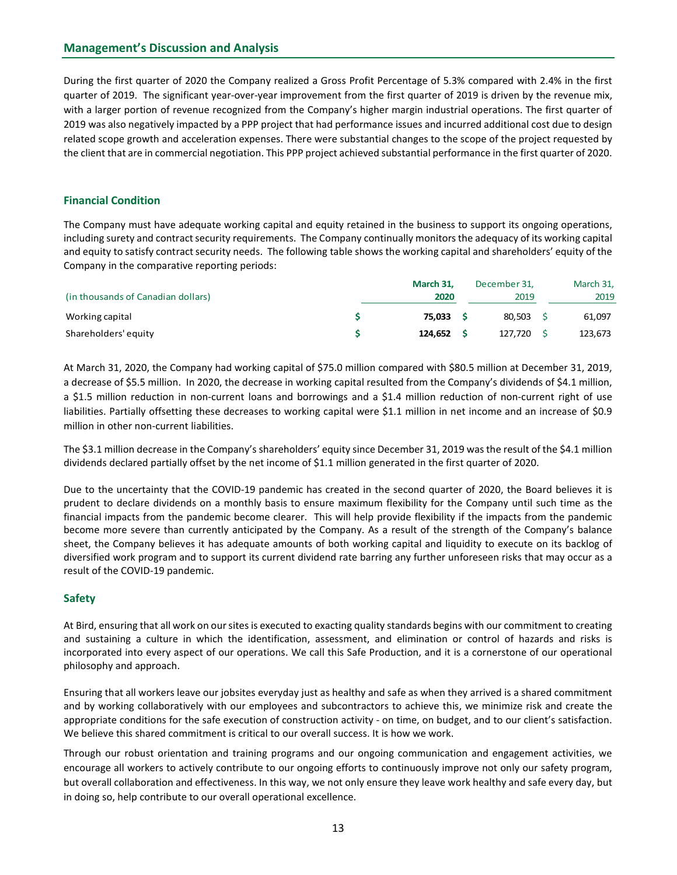During the first quarter of 2020 the Company realized a Gross Profit Percentage of 5.3% compared with 2.4% in the first quarter of 2019. The significant year-over-year improvement from the first quarter of 2019 is driven by the revenue mix, with a larger portion of revenue recognized from the Company's higher margin industrial operations. The first quarter of 2019 was also negatively impacted by a PPP project that had performance issues and incurred additional cost due to design related scope growth and acceleration expenses. There were substantial changes to the scope of the project requested by the client that are in commercial negotiation. This PPP project achieved substantial performance in the first quarter of 2020.

# Financial Condition

The Company must have adequate working capital and equity retained in the business to support its ongoing operations, including surety and contract security requirements. The Company continually monitors the adequacy of its working capital and equity to satisfy contract security needs. The following table shows the working capital and shareholders' equity of the Company in the comparative reporting periods:

|                                    | March 31, | December 31, | March 31, |
|------------------------------------|-----------|--------------|-----------|
| (in thousands of Canadian dollars) | 2020      | 2019         | 2019      |
| Working capital                    | 75,033    | 80,503       | 61,097    |
| Shareholders' equity               | 124,652   | 127,720      | 123,673   |

At March 31, 2020, the Company had working capital of \$75.0 million compared with \$80.5 million at December 31, 2019, a decrease of \$5.5 million. In 2020, the decrease in working capital resulted from the Company's dividends of \$4.1 million, a \$1.5 million reduction in non-current loans and borrowings and a \$1.4 million reduction of non-current right of use liabilities. Partially offsetting these decreases to working capital were \$1.1 million in net income and an increase of \$0.9 million in other non-current liabilities.

The \$3.1 million decrease in the Company's shareholders' equity since December 31, 2019 was the result of the \$4.1 million dividends declared partially offset by the net income of \$1.1 million generated in the first quarter of 2020.

Due to the uncertainty that the COVID-19 pandemic has created in the second quarter of 2020, the Board believes it is prudent to declare dividends on a monthly basis to ensure maximum flexibility for the Company until such time as the financial impacts from the pandemic become clearer. This will help provide flexibility if the impacts from the pandemic become more severe than currently anticipated by the Company. As a result of the strength of the Company's balance sheet, the Company believes it has adequate amounts of both working capital and liquidity to execute on its backlog of diversified work program and to support its current dividend rate barring any further unforeseen risks that may occur as a result of the COVID-19 pandemic.

# Safety

At Bird, ensuring that all work on our sites is executed to exacting quality standards begins with our commitment to creating and sustaining a culture in which the identification, assessment, and elimination or control of hazards and risks is incorporated into every aspect of our operations. We call this Safe Production, and it is a cornerstone of our operational philosophy and approach.

Ensuring that all workers leave our jobsites everyday just as healthy and safe as when they arrived is a shared commitment and by working collaboratively with our employees and subcontractors to achieve this, we minimize risk and create the appropriate conditions for the safe execution of construction activity - on time, on budget, and to our client's satisfaction. We believe this shared commitment is critical to our overall success. It is how we work.

Through our robust orientation and training programs and our ongoing communication and engagement activities, we encourage all workers to actively contribute to our ongoing efforts to continuously improve not only our safety program, but overall collaboration and effectiveness. In this way, we not only ensure they leave work healthy and safe every day, but in doing so, help contribute to our overall operational excellence.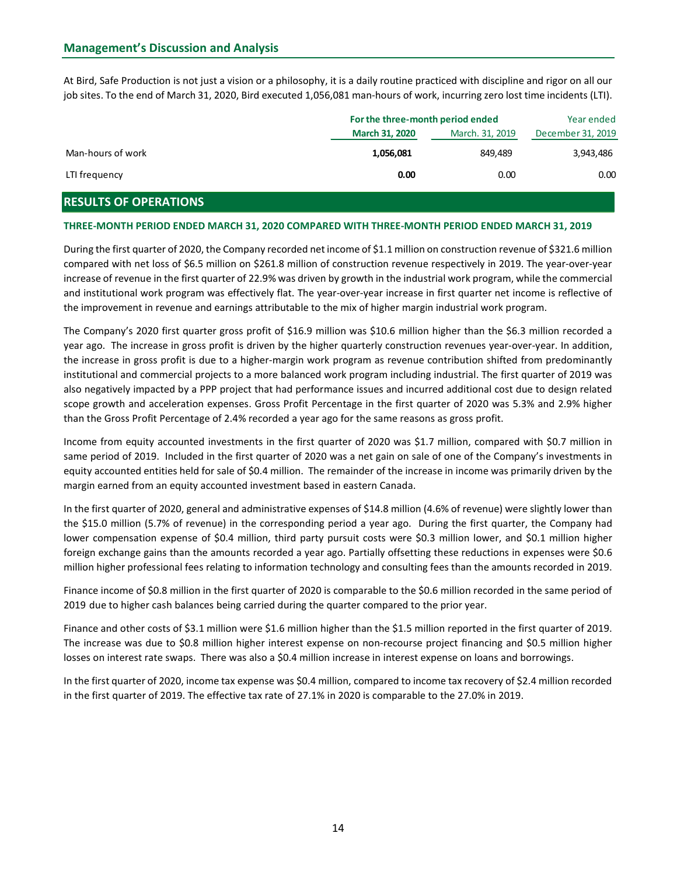| <b>Management's Discussion and Analysis</b>                                                                                                                                                                                                                          |
|----------------------------------------------------------------------------------------------------------------------------------------------------------------------------------------------------------------------------------------------------------------------|
|                                                                                                                                                                                                                                                                      |
|                                                                                                                                                                                                                                                                      |
|                                                                                                                                                                                                                                                                      |
|                                                                                                                                                                                                                                                                      |
|                                                                                                                                                                                                                                                                      |
| At Bird, Safe Production is not just a vision or a philosophy, it is a daily routine practiced with discipline and rigor on all our<br>job sites. To the end of March 31, 2020, Bird executed 1,056,081 man-hours of work, incurring zero lost time incidents (LTI). |
|                                                                                                                                                                                                                                                                      |
|                                                                                                                                                                                                                                                                      |
| For the three-month period ended<br>Year ended                                                                                                                                                                                                                       |
| March 31, 2020<br>March. 31, 2019<br>December 31, 2019                                                                                                                                                                                                               |
| Man-hours of work<br>1,056,081<br>849,489<br>3,943,486                                                                                                                                                                                                               |
| LTI frequency<br>0.00<br>0.00<br>0.00                                                                                                                                                                                                                                |
| <b>RESULTS OF OPERATIONS</b>                                                                                                                                                                                                                                         |
| THREE-MONTH PERIOD ENDED MARCH 31, 2020 COMPARED WITH THREE-MONTH PERIOD ENDED MARCH 31, 2019                                                                                                                                                                        |
| During the first quarter of 2020, the Company recorded net income of \$1.1 million on construction revenue of \$321.6 million                                                                                                                                        |

# RESULTS OF OPERATIONS

#### THREE-MONTH PERIOD ENDED MARCH 31, 2020 COMPARED WITH THREE-MONTH PERIOD ENDED MARCH 31, 2019

During the first quarter of 2020, the Company recorded net income of \$1.1 million on construction revenue of \$321.6 million compared with net loss of \$6.5 million on \$261.8 million of construction revenue respectively in 2019. The year-over-year increase of revenue in the first quarter of 22.9% was driven by growth in the industrial work program, while the commercial and institutional work program was effectively flat. The year-over-year increase in first quarter net income is reflective of the improvement in revenue and earnings attributable to the mix of higher margin industrial work program.

The Company's 2020 first quarter gross profit of \$16.9 million was \$10.6 million higher than the \$6.3 million recorded a year ago. The increase in gross profit is driven by the higher quarterly construction revenues year-over-year. In addition, the increase in gross profit is due to a higher-margin work program as revenue contribution shifted from predominantly institutional and commercial projects to a more balanced work program including industrial. The first quarter of 2019 was also negatively impacted by a PPP project that had performance issues and incurred additional cost due to design related scope growth and acceleration expenses. Gross Profit Percentage in the first quarter of 2020 was 5.3% and 2.9% higher than the Gross Profit Percentage of 2.4% recorded a year ago for the same reasons as gross profit.

Income from equity accounted investments in the first quarter of 2020 was \$1.7 million, compared with \$0.7 million in same period of 2019. Included in the first quarter of 2020 was a net gain on sale of one of the Company's investments in equity accounted entities held for sale of \$0.4 million. The remainder of the increase in income was primarily driven by the margin earned from an equity accounted investment based in eastern Canada.

In the first quarter of 2020, general and administrative expenses of \$14.8 million (4.6% of revenue) were slightly lower than the \$15.0 million (5.7% of revenue) in the corresponding period a year ago. During the first quarter, the Company had lower compensation expense of \$0.4 million, third party pursuit costs were \$0.3 million lower, and \$0.1 million higher foreign exchange gains than the amounts recorded a year ago. Partially offsetting these reductions in expenses were \$0.6 million higher professional fees relating to information technology and consulting fees than the amounts recorded in 2019.

Finance income of \$0.8 million in the first quarter of 2020 is comparable to the \$0.6 million recorded in the same period of 2019 due to higher cash balances being carried during the quarter compared to the prior year.

Finance and other costs of \$3.1 million were \$1.6 million higher than the \$1.5 million reported in the first quarter of 2019. The increase was due to \$0.8 million higher interest expense on non-recourse project financing and \$0.5 million higher losses on interest rate swaps. There was also a \$0.4 million increase in interest expense on loans and borrowings.

In the first quarter of 2020, income tax expense was \$0.4 million, compared to income tax recovery of \$2.4 million recorded in the first quarter of 2019. The effective tax rate of 27.1% in 2020 is comparable to the 27.0% in 2019.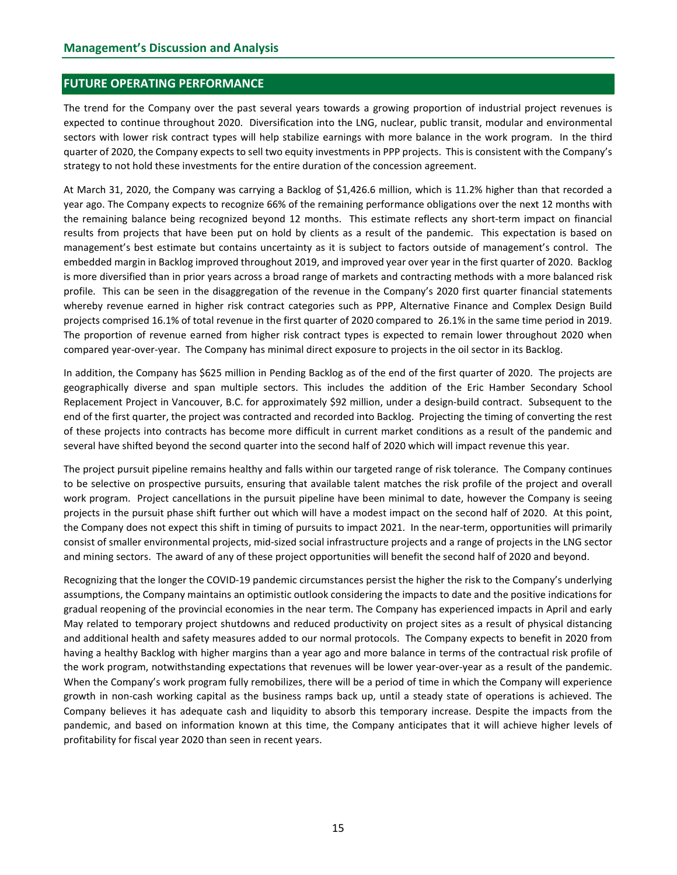### FUTURE OPERATING PERFORMANCE

The trend for the Company over the past several years towards a growing proportion of industrial project revenues is expected to continue throughout 2020. Diversification into the LNG, nuclear, public transit, modular and environmental sectors with lower risk contract types will help stabilize earnings with more balance in the work program. In the third quarter of 2020, the Company expects to sell two equity investments in PPP projects. This is consistent with the Company's strategy to not hold these investments for the entire duration of the concession agreement.

At March 31, 2020, the Company was carrying a Backlog of \$1,426.6 million, which is 11.2% higher than that recorded a year ago. The Company expects to recognize 66% of the remaining performance obligations over the next 12 months with the remaining balance being recognized beyond 12 months. This estimate reflects any short-term impact on financial results from projects that have been put on hold by clients as a result of the pandemic. This expectation is based on management's best estimate but contains uncertainty as it is subject to factors outside of management's control. The embedded margin in Backlog improved throughout 2019, and improved year over year in the first quarter of 2020. Backlog is more diversified than in prior years across a broad range of markets and contracting methods with a more balanced risk profile. This can be seen in the disaggregation of the revenue in the Company's 2020 first quarter financial statements whereby revenue earned in higher risk contract categories such as PPP, Alternative Finance and Complex Design Build projects comprised 16.1% of total revenue in the first quarter of 2020 compared to 26.1% in the same time period in 2019. The proportion of revenue earned from higher risk contract types is expected to remain lower throughout 2020 when compared year-over-year. The Company has minimal direct exposure to projects in the oil sector in its Backlog.

In addition, the Company has \$625 million in Pending Backlog as of the end of the first quarter of 2020. The projects are geographically diverse and span multiple sectors. This includes the addition of the Eric Hamber Secondary School Replacement Project in Vancouver, B.C. for approximately \$92 million, under a design-build contract. Subsequent to the end of the first quarter, the project was contracted and recorded into Backlog. Projecting the timing of converting the rest of these projects into contracts has become more difficult in current market conditions as a result of the pandemic and several have shifted beyond the second quarter into the second half of 2020 which will impact revenue this year.

The project pursuit pipeline remains healthy and falls within our targeted range of risk tolerance. The Company continues to be selective on prospective pursuits, ensuring that available talent matches the risk profile of the project and overall work program. Project cancellations in the pursuit pipeline have been minimal to date, however the Company is seeing projects in the pursuit phase shift further out which will have a modest impact on the second half of 2020. At this point, the Company does not expect this shift in timing of pursuits to impact 2021. In the near-term, opportunities will primarily consist of smaller environmental projects, mid-sized social infrastructure projects and a range of projects in the LNG sector and mining sectors. The award of any of these project opportunities will benefit the second half of 2020 and beyond.

Recognizing that the longer the COVID-19 pandemic circumstances persist the higher the risk to the Company's underlying assumptions, the Company maintains an optimistic outlook considering the impacts to date and the positive indications for gradual reopening of the provincial economies in the near term. The Company has experienced impacts in April and early May related to temporary project shutdowns and reduced productivity on project sites as a result of physical distancing and additional health and safety measures added to our normal protocols. The Company expects to benefit in 2020 from having a healthy Backlog with higher margins than a year ago and more balance in terms of the contractual risk profile of the work program, notwithstanding expectations that revenues will be lower year-over-year as a result of the pandemic. When the Company's work program fully remobilizes, there will be a period of time in which the Company will experience growth in non-cash working capital as the business ramps back up, until a steady state of operations is achieved. The Company believes it has adequate cash and liquidity to absorb this temporary increase. Despite the impacts from the pandemic, and based on information known at this time, the Company anticipates that it will achieve higher levels of profitability for fiscal year 2020 than seen in recent years.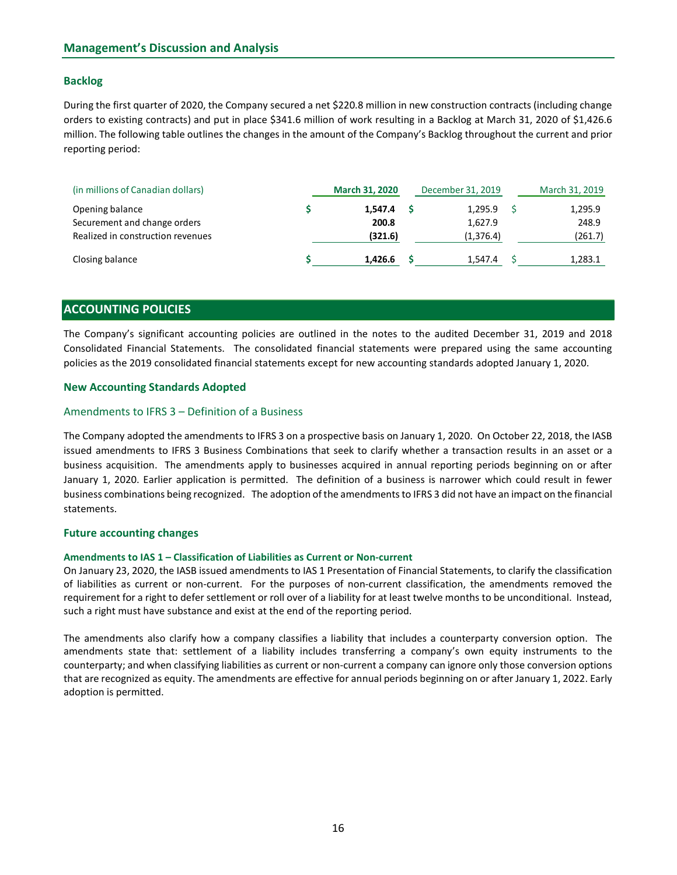# Backlog

During the first quarter of 2020, the Company secured a net \$220.8 million in new construction contracts (including change orders to existing contracts) and put in place \$341.6 million of work resulting in a Backlog at March 31, 2020 of \$1,426.6 million. The following table outlines the changes in the amount of the Company's Backlog throughout the current and prior reporting period:

| (in millions of Canadian dollars) | <b>March 31, 2020</b> | December 31, 2019 | March 31, 2019 |
|-----------------------------------|-----------------------|-------------------|----------------|
| Opening balance                   | 1,547.4               | 1,295.9           | 1,295.9        |
| Securement and change orders      | 200.8                 | 1,627.9           | 248.9          |
| Realized in construction revenues | (321.6)               | (1,376.4)         | (261.7)        |
| Closing balance                   | 1,426.6               | 1,547.4           | 1,283.1        |

# ACCOUNTING POLICIES

The Company's significant accounting policies are outlined in the notes to the audited December 31, 2019 and 2018 Consolidated Financial Statements. The consolidated financial statements were prepared using the same accounting policies as the 2019 consolidated financial statements except for new accounting standards adopted January 1, 2020.

#### New Accounting Standards Adopted

#### Amendments to IFRS 3 – Definition of a Business

The Company adopted the amendments to IFRS 3 on a prospective basis on January 1, 2020. On October 22, 2018, the IASB issued amendments to IFRS 3 Business Combinations that seek to clarify whether a transaction results in an asset or a business acquisition. The amendments apply to businesses acquired in annual reporting periods beginning on or after January 1, 2020. Earlier application is permitted. The definition of a business is narrower which could result in fewer business combinations being recognized. The adoption of the amendments to IFRS 3 did not have an impact on the financial statements.

#### Future accounting changes

#### Amendments to IAS 1 – Classification of Liabilities as Current or Non-current

On January 23, 2020, the IASB issued amendments to IAS 1 Presentation of Financial Statements, to clarify the classification of liabilities as current or non-current. For the purposes of non-current classification, the amendments removed the requirement for a right to defer settlement or roll over of a liability for at least twelve months to be unconditional. Instead, such a right must have substance and exist at the end of the reporting period.

The amendments also clarify how a company classifies a liability that includes a counterparty conversion option. The amendments state that: settlement of a liability includes transferring a company's own equity instruments to the counterparty; and when classifying liabilities as current or non-current a company can ignore only those conversion options that are recognized as equity. The amendments are effective for annual periods beginning on or after January 1, 2022. Early adoption is permitted.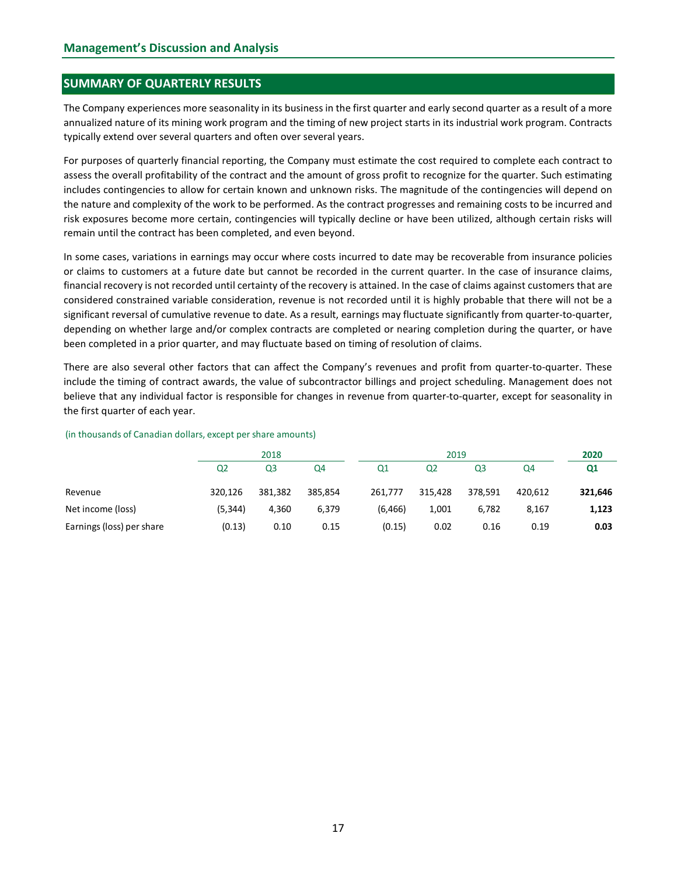# SUMMARY OF QUARTERLY RESULTS

The Company experiences more seasonality in its business in the first quarter and early second quarter as a result of a more annualized nature of its mining work program and the timing of new project starts in its industrial work program. Contracts typically extend over several quarters and often over several years.

For purposes of quarterly financial reporting, the Company must estimate the cost required to complete each contract to assess the overall profitability of the contract and the amount of gross profit to recognize for the quarter. Such estimating includes contingencies to allow for certain known and unknown risks. The magnitude of the contingencies will depend on the nature and complexity of the work to be performed. As the contract progresses and remaining costs to be incurred and risk exposures become more certain, contingencies will typically decline or have been utilized, although certain risks will remain until the contract has been completed, and even beyond.

In some cases, variations in earnings may occur where costs incurred to date may be recoverable from insurance policies or claims to customers at a future date but cannot be recorded in the current quarter. In the case of insurance claims, financial recovery is not recorded until certainty of the recovery is attained. In the case of claims against customers that are considered constrained variable consideration, revenue is not recorded until it is highly probable that there will not be a significant reversal of cumulative revenue to date. As a result, earnings may fluctuate significantly from quarter-to-quarter, depending on whether large and/or complex contracts are completed or nearing completion during the quarter, or have been completed in a prior quarter, and may fluctuate based on timing of resolution of claims. Experission emore certain, contingencies will typically decline or have been utilized, although certain risks will<br>
eremain until the contract has been completed, and even beyond.<br>
In some cases, variations in earnings ma emain until the contract has been completed, and even beyond.<br>
In some cases, variations in certain streamed to date may be recoverable from insurance policies<br>
In some cases, variations in earnings may occur where cost i In some cases, variations in earnings may occur where costs incurred to date may be recoverable from insurance policies<br>or claims (o customers at a future date but cannot be recovery is attained. In the creat quark cannot

There are also several other factors that can affect the Company's revenues and profit from quarter-to-quarter. These include the timing of contract awards, the value of subcontractor billings and project scheduling. Management does not believe that any individual factor is responsible for changes in revenue from quarter-to-quarter, except for seasonality in the first quarter of each year.

#### (in thousands of Canadian dollars, except per share amounts)

|                           |                | 2018           |         |          | 2020           |                |         |                |
|---------------------------|----------------|----------------|---------|----------|----------------|----------------|---------|----------------|
|                           | Q <sub>2</sub> | Q <sub>3</sub> | Q4      | Q1       | Q <sub>2</sub> | Q <sub>3</sub> | Q4      | Q <sub>1</sub> |
| Revenue                   | 320,126        | 381,382        | 385,854 | 261,777  | 315,428        | 378,591        | 420,612 | 321,646        |
| Net income (loss)         | (5, 344)       | 4,360          | 6,379   | (6, 466) | 1,001          | 6,782          | 8,167   | 1,123          |
| Earnings (loss) per share | (0.13)         | 0.10           | 0.15    | (0.15)   | 0.02           | 0.16           | 0.19    | 0.03           |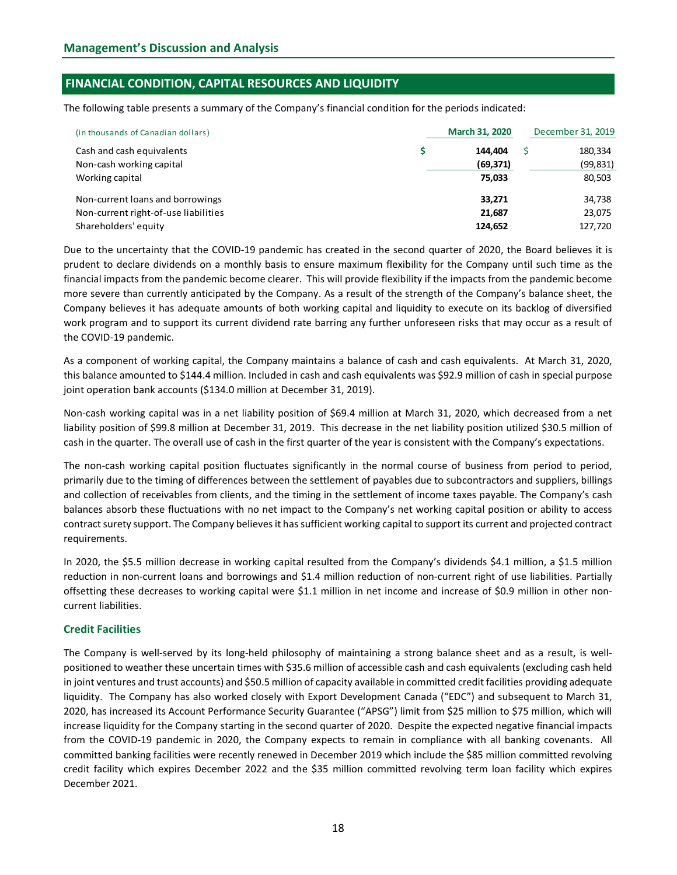# FINANCIAL CONDITION, CAPITAL RESOURCES AND LIQUIDITY

The following table presents a summary of the Company's financial condition for the periods indicated:

| (in thousands of Canadian dollars)   | <b>March 31, 2020</b> | December 31, 2019 |
|--------------------------------------|-----------------------|-------------------|
| Cash and cash equivalents            | 144.404               | 180,334           |
| Non-cash working capital             | (69, 371)             | (99, 831)         |
| Working capital                      | 75,033                | 80,503            |
| Non-current loans and borrowings     | 33,271                | 34,738            |
| Non-current right-of-use liabilities | 21,687                | 23,075            |
| Shareholders' equity                 | 124,652               | 127,720           |

Due to the uncertainty that the COVID-19 pandemic has created in the second quarter of 2020, the Board believes it is prudent to declare dividends on a monthly basis to ensure maximum flexibility for the Company until such time as the financial impacts from the pandemic become clearer. This will provide flexibility if the impacts from the pandemic become more severe than currently anticipated by the Company. As a result of the strength of the Company's balance sheet, the Company believes it has adequate amounts of both working capital and liquidity to execute on its backlog of diversified work program and to support its current dividend rate barring any further unforeseen risks that may occur as a result of the COVID-19 pandemic.

As a component of working capital, the Company maintains a balance of cash and cash equivalents. At March 31, 2020, this balance amounted to \$144.4 million. Included in cash and cash equivalents was \$92.9 million of cash in special purpose joint operation bank accounts (\$134.0 million at December 31, 2019).

Non-cash working capital was in a net liability position of \$69.4 million at March 31, 2020, which decreased from a net liability position of \$99.8 million at December 31, 2019. This decrease in the net liability position utilized \$30.5 million of cash in the quarter. The overall use of cash in the first quarter of the year is consistent with the Company's expectations.

The non-cash working capital position fluctuates significantly in the normal course of business from period to period, primarily due to the timing of differences between the settlement of payables due to subcontractors and suppliers, billings and collection of receivables from clients, and the timing in the settlement of income taxes payable. The Company's cash balances absorb these fluctuations with no net impact to the Company's net working capital position or ability to access contract surety support. The Company believes it has sufficient working capital to support its current and projected contract requirements.

In 2020, the \$5.5 million decrease in working capital resulted from the Company's dividends \$4.1 million, a \$1.5 million reduction in non-current loans and borrowings and \$1.4 million reduction of non-current right of use liabilities. Partially offsetting these decreases to working capital were \$1.1 million in net income and increase of \$0.9 million in other noncurrent liabilities.

# Credit Facilities

The Company is well-served by its long-held philosophy of maintaining a strong balance sheet and as a result, is wellpositioned to weather these uncertain times with \$35.6 million of accessible cash and cash equivalents (excluding cash held in joint ventures and trust accounts) and \$50.5 million of capacity available in committed credit facilities providing adequate liquidity. The Company has also worked closely with Export Development Canada ("EDC") and subsequent to March 31, 2020, has increased its Account Performance Security Guarantee ("APSG") limit from \$25 million to \$75 million, which will increase liquidity for the Company starting in the second quarter of 2020. Despite the expected negative financial impacts from the COVID-19 pandemic in 2020, the Company expects to remain in compliance with all banking covenants. All committed banking facilities were recently renewed in December 2019 which include the \$85 million committed revolving credit facility which expires December 2022 and the \$35 million committed revolving term loan facility which expires December 2021.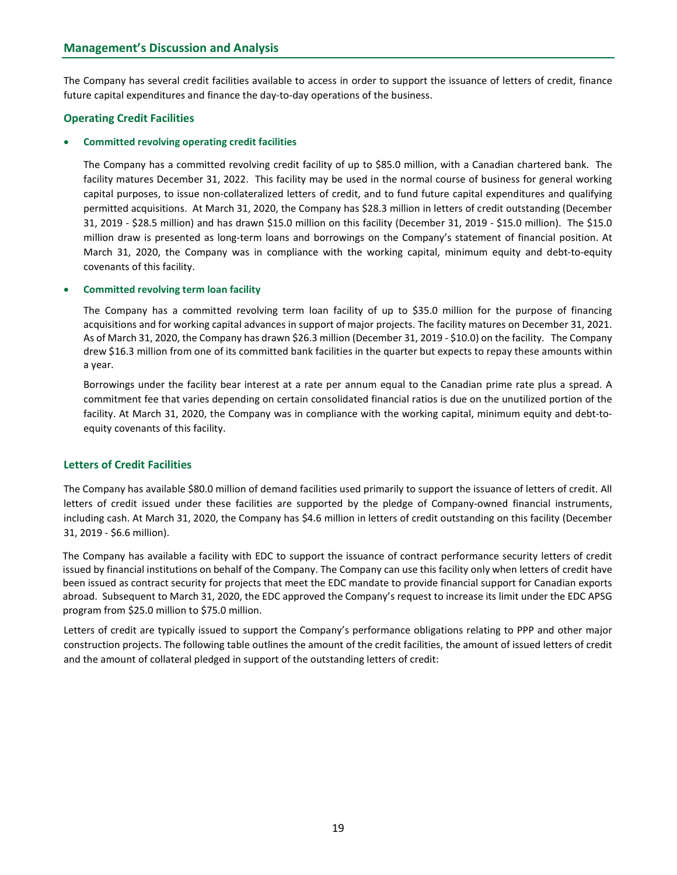The Company has several credit facilities available to access in order to support the issuance of letters of credit, finance future capital expenditures and finance the day-to-day operations of the business.

# Operating Credit Facilities

#### Committed revolving operating credit facilities

The Company has a committed revolving credit facility of up to \$85.0 million, with a Canadian chartered bank. The facility matures December 31, 2022. This facility may be used in the normal course of business for general working capital purposes, to issue non-collateralized letters of credit, and to fund future capital expenditures and qualifying permitted acquisitions. At March 31, 2020, the Company has \$28.3 million in letters of credit outstanding (December 31, 2019 - \$28.5 million) and has drawn \$15.0 million on this facility (December 31, 2019 - \$15.0 million). The \$15.0 million draw is presented as long-term loans and borrowings on the Company's statement of financial position. At March 31, 2020, the Company was in compliance with the working capital, minimum equity and debt-to-equity covenants of this facility.

#### Committed revolving term loan facility

The Company has a committed revolving term loan facility of up to \$35.0 million for the purpose of financing acquisitions and for working capital advances in support of major projects. The facility matures on December 31, 2021. As of March 31, 2020, the Company has drawn \$26.3 million (December 31, 2019 - \$10.0) on the facility. The Company drew \$16.3 million from one of its committed bank facilities in the quarter but expects to repay these amounts within a year.

Borrowings under the facility bear interest at a rate per annum equal to the Canadian prime rate plus a spread. A commitment fee that varies depending on certain consolidated financial ratios is due on the unutilized portion of the facility. At March 31, 2020, the Company was in compliance with the working capital, minimum equity and debt-toequity covenants of this facility.

# Letters of Credit Facilities

The Company has available \$80.0 million of demand facilities used primarily to support the issuance of letters of credit. All letters of credit issued under these facilities are supported by the pledge of Company-owned financial instruments, including cash. At March 31, 2020, the Company has \$4.6 million in letters of credit outstanding on this facility (December 31, 2019 - \$6.6 million).

The Company has available a facility with EDC to support the issuance of contract performance security letters of credit issued by financial institutions on behalf of the Company. The Company can use this facility only when letters of credit have been issued as contract security for projects that meet the EDC mandate to provide financial support for Canadian exports abroad. Subsequent to March 31, 2020, the EDC approved the Company's request to increase its limit under the EDC APSG program from \$25.0 million to \$75.0 million.

Letters of credit are typically issued to support the Company's performance obligations relating to PPP and other major construction projects. The following table outlines the amount of the credit facilities, the amount of issued letters of credit and the amount of collateral pledged in support of the outstanding letters of credit: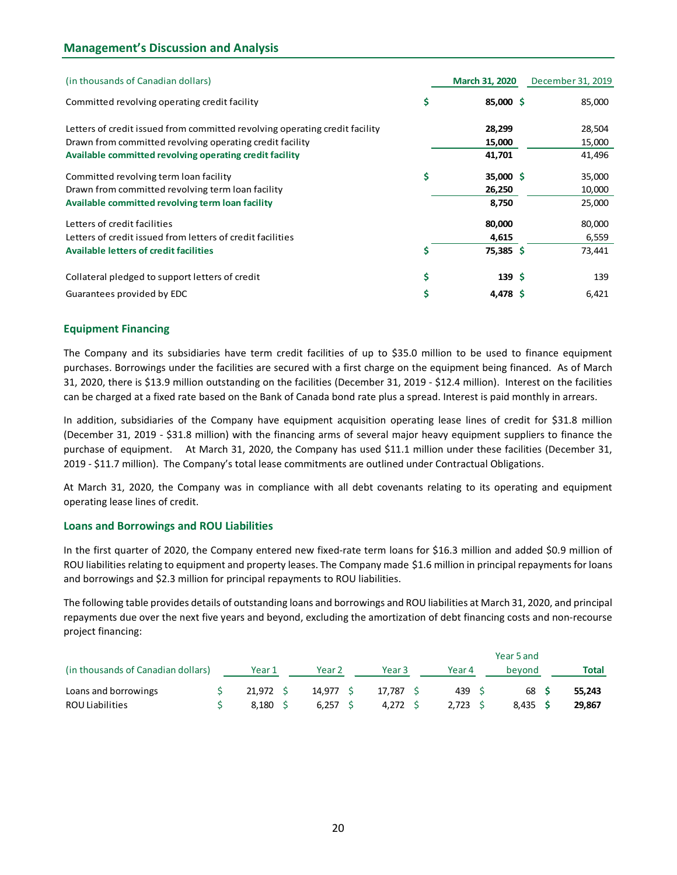# Management's Discussion and Analysis

| (in thousands of Canadian dollars)                                          | March 31, 2020         | December 31, 2019 |
|-----------------------------------------------------------------------------|------------------------|-------------------|
| Committed revolving operating credit facility                               | \$<br>85,000 \$        | 85,000            |
| Letters of credit issued from committed revolving operating credit facility | 28,299                 | 28,504            |
| Drawn from committed revolving operating credit facility                    | 15,000                 | 15,000            |
| Available committed revolving operating credit facility                     | 41,701                 | 41,496            |
| Committed revolving term loan facility                                      | \$<br>35,000 \$        | 35,000            |
| Drawn from committed revolving term loan facility                           | 26,250                 | 10,000            |
| Available committed revolving term loan facility                            | 8,750                  | 25,000            |
| Letters of credit facilities                                                | 80,000                 | 80,000            |
| Letters of credit issued from letters of credit facilities                  | 4,615                  | 6,559             |
| <b>Available letters of credit facilities</b>                               | \$<br>75,385 \$        | 73,441            |
| Collateral pledged to support letters of credit                             | \$<br>139 <sup>5</sup> | 139               |
| Guarantees provided by EDC                                                  | \$<br>4,478 \$         | 6,421             |

#### Equipment Financing

The Company and its subsidiaries have term credit facilities of up to \$35.0 million to be used to finance equipment purchases. Borrowings under the facilities are secured with a first charge on the equipment being financed. As of March 31, 2020, there is \$13.9 million outstanding on the facilities (December 31, 2019 - \$12.4 million). Interest on the facilities can be charged at a fixed rate based on the Bank of Canada bond rate plus a spread. Interest is paid monthly in arrears.

#### Loans and Borrowings and ROU Liabilities

| can be charged at a fixed rate based on the Bank of Canada bond rate plus a spread. Interest is paid monthly in arrears.                                                                                                                                                                                                                                                                                                                                                            |                   |        |           |                   |        |        |            |              |  |
|-------------------------------------------------------------------------------------------------------------------------------------------------------------------------------------------------------------------------------------------------------------------------------------------------------------------------------------------------------------------------------------------------------------------------------------------------------------------------------------|-------------------|--------|-----------|-------------------|--------|--------|------------|--------------|--|
| In addition, subsidiaries of the Company have equipment acquisition operating lease lines of credit for \$31.8 million<br>(December 31, 2019 - \$31.8 million) with the financing arms of several major heavy equipment suppliers to finance the<br>purchase of equipment. At March 31, 2020, the Company has used \$11.1 million under these facilities (December 31,<br>2019 - \$11.7 million). The Company's total lease commitments are outlined under Contractual Obligations. |                   |        |           |                   |        |        |            |              |  |
| At March 31, 2020, the Company was in compliance with all debt covenants relating to its operating and equipment<br>operating lease lines of credit.                                                                                                                                                                                                                                                                                                                                |                   |        |           |                   |        |        |            |              |  |
| <b>Loans and Borrowings and ROU Liabilities</b>                                                                                                                                                                                                                                                                                                                                                                                                                                     |                   |        |           |                   |        |        |            |              |  |
| In the first quarter of 2020, the Company entered new fixed-rate term loans for \$16.3 million and added \$0.9 million of<br>ROU liabilities relating to equipment and property leases. The Company made \$1.6 million in principal repayments for loans<br>and borrowings and \$2.3 million for principal repayments to ROU liabilities.                                                                                                                                           |                   |        |           |                   |        |        |            |              |  |
| The following table provides details of outstanding loans and borrowings and ROU liabilities at March 31, 2020, and principal                                                                                                                                                                                                                                                                                                                                                       |                   |        |           |                   |        |        |            |              |  |
| repayments due over the next five years and beyond, excluding the amortization of debt financing costs and non-recourse<br>project financing:                                                                                                                                                                                                                                                                                                                                       |                   |        |           |                   |        |        |            |              |  |
|                                                                                                                                                                                                                                                                                                                                                                                                                                                                                     |                   |        |           |                   |        |        | Year 5 and |              |  |
| (in thousands of Canadian dollars)                                                                                                                                                                                                                                                                                                                                                                                                                                                  | Year 1            | Year 2 |           | Year <sub>3</sub> | Year 4 |        | beyond     | <b>Total</b> |  |
| Loans and borrowings                                                                                                                                                                                                                                                                                                                                                                                                                                                                | \$<br>$21,972$ \$ |        | 14,977 \$ | 17,787 \$         |        | 439 \$ | 68 S       | 55,243       |  |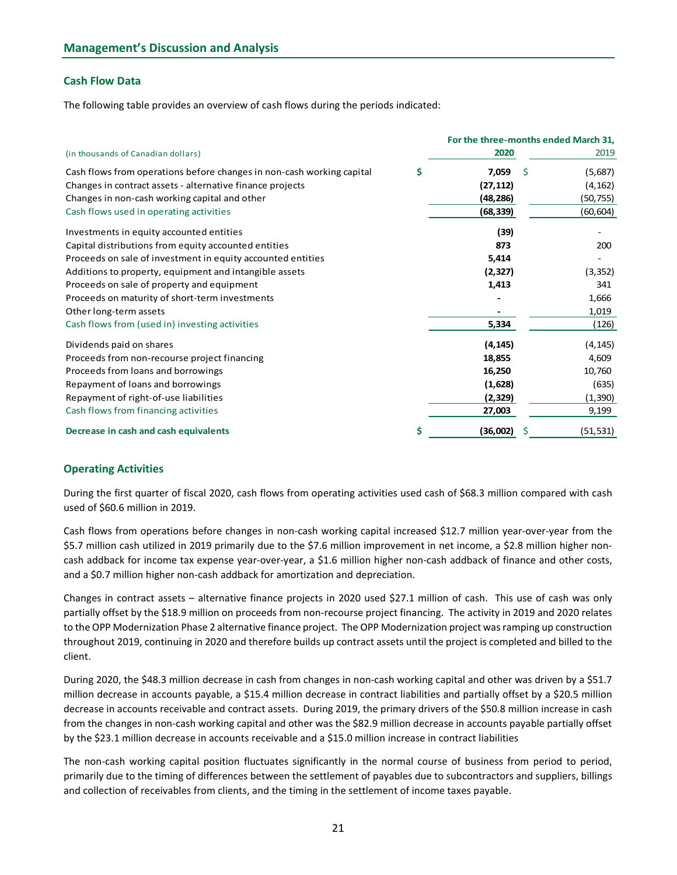# Cash Flow Data

The following table provides an overview of cash flows during the periods indicated:

|                                                                                                                              | For the three-months ended March 31, |   |           |
|------------------------------------------------------------------------------------------------------------------------------|--------------------------------------|---|-----------|
| (in thousands of Canadian dollars)                                                                                           | 2020                                 |   | 2019      |
| Cash flows from operations before changes in non-cash working capital                                                        | \$<br>7,059                          | Ś | (5,687)   |
| Changes in contract assets - alternative finance projects                                                                    | (27, 112)                            |   | (4, 162)  |
| Changes in non-cash working capital and other                                                                                | (48, 286)                            |   | (50, 755) |
| Cash flows used in operating activities                                                                                      | (68, 339)                            |   | (60, 604) |
| Investments in equity accounted entities                                                                                     | (39)                                 |   |           |
| Capital distributions from equity accounted entities                                                                         | 873                                  |   | 200       |
| Proceeds on sale of investment in equity accounted entities                                                                  | 5,414                                |   |           |
| Additions to property, equipment and intangible assets                                                                       | (2, 327)                             |   | (3, 352)  |
| Proceeds on sale of property and equipment                                                                                   | 1,413                                |   | 341       |
| Proceeds on maturity of short-term investments                                                                               |                                      |   | 1,666     |
| Other long-term assets                                                                                                       |                                      |   | 1,019     |
| Cash flows from (used in) investing activities                                                                               | 5,334                                |   | (126)     |
| Dividends paid on shares                                                                                                     | (4, 145)                             |   | (4, 145)  |
| Proceeds from non-recourse project financing                                                                                 | 18,855                               |   | 4,609     |
| Proceeds from loans and borrowings                                                                                           | 16,250                               |   | 10,760    |
| Repayment of loans and borrowings                                                                                            | (1,628)                              |   | (635)     |
| Repayment of right-of-use liabilities                                                                                        | (2, 329)                             |   | (1,390)   |
| Cash flows from financing activities                                                                                         | 27,003                               |   | 9,199     |
| Decrease in cash and cash equivalents                                                                                        | \$<br>(36,002)                       | Ŝ | (51, 531) |
| <b>Operating Activities</b>                                                                                                  |                                      |   |           |
| During the first quarter of fiscal 2020, cash flows from operating activities used cash of \$68.3 million compared with cash |                                      |   |           |
| used of \$60.6 million in 2019.                                                                                              |                                      |   |           |

#### Operating Activities

Cash flows from operations before changes in non-cash working capital increased \$12.7 million year-over-year from the \$5.7 million cash utilized in 2019 primarily due to the \$7.6 million improvement in net income, a \$2.8 million higher noncash addback for income tax expense year-over-year, a \$1.6 million higher non-cash addback of finance and other costs, and a \$0.7 million higher non-cash addback for amortization and depreciation.

Changes in contract assets – alternative finance projects in 2020 used \$27.1 million of cash. This use of cash was only partially offset by the \$18.9 million on proceeds from non-recourse project financing. The activity in 2019 and 2020 relates to the OPP Modernization Phase 2 alternative finance project. The OPP Modernization project was ramping up construction throughout 2019, continuing in 2020 and therefore builds up contract assets until the project is completed and billed to the client.

During 2020, the \$48.3 million decrease in cash from changes in non-cash working capital and other was driven by a \$51.7 million decrease in accounts payable, a \$15.4 million decrease in contract liabilities and partially offset by a \$20.5 million decrease in accounts receivable and contract assets. During 2019, the primary drivers of the \$50.8 million increase in cash from the changes in non-cash working capital and other was the \$82.9 million decrease in accounts payable partially offset by the \$23.1 million decrease in accounts receivable and a \$15.0 million increase in contract liabilities

The non-cash working capital position fluctuates significantly in the normal course of business from period to period, primarily due to the timing of differences between the settlement of payables due to subcontractors and suppliers, billings and collection of receivables from clients, and the timing in the settlement of income taxes payable.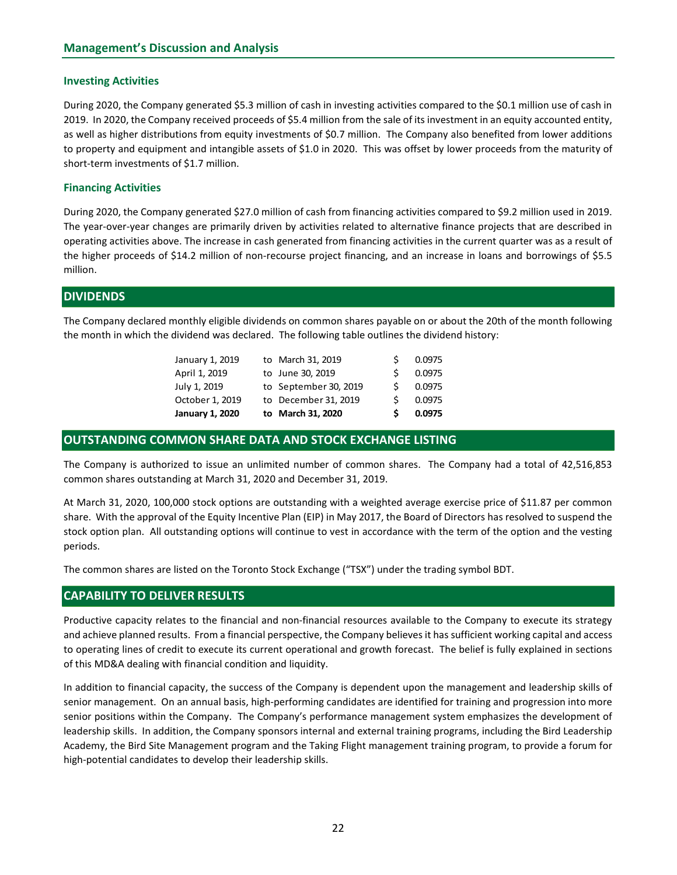# Investing Activities

During 2020, the Company generated \$5.3 million of cash in investing activities compared to the \$0.1 million use of cash in 2019. In 2020, the Company received proceeds of \$5.4 million from the sale of its investment in an equity accounted entity, as well as higher distributions from equity investments of \$0.7 million. The Company also benefited from lower additions to property and equipment and intangible assets of \$1.0 in 2020. This was offset by lower proceeds from the maturity of short-term investments of \$1.7 million.

# Financing Activities

During 2020, the Company generated \$27.0 million of cash from financing activities compared to \$9.2 million used in 2019. The year-over-year changes are primarily driven by activities related to alternative finance projects that are described in operating activities above. The increase in cash generated from financing activities in the current quarter was as a result of the higher proceeds of \$14.2 million of non-recourse project financing, and an increase in loans and borrowings of \$5.5 million. any generated \$5.3 million of cash in investing activities compared to the \$0.1 million use of cash in<br>any received proceeds of \$5.4 million from the sale of its investment in an equity accounted entity,<br>tions from equity ny generated \$5.3 million of cash in investing activities compared to the \$0.1 million use of cash in<br>my received proceess of \$5.4 million from the sale of its investment in an equity accounted entity,<br>tions from equity in ry excelled proceeds of \$5.4 million from the sale of its investment in an equity accounted entity,<br>any received proceeds of \$5.4 million from the sale of its investment in an equity accounted entity,<br>to the strone equity my receives or J.3-4 minion Train and the see of its since the Company also benefited from lower additions<br>tions from equity investments of \$0.7 million. The Company also benefited from lower additions<br>ent and intangible a The control of the control of the company and between the mathematical states of \$1.0 in 2020. This was offset by lower proceeds from the maturity of<br>the and intangible assets of \$1.0 in 2020. This was offset by lower proc

# **DIVIDENDS**

The Company declared monthly eligible dividends on common shares payable on or about the 20th of the month following the month in which the dividend was declared. The following table outlines the dividend history:

| January 1, 2019<br>April 1, 2019 | to March 31, 2019<br>to June 30, 2019 | 0.0975 |
|----------------------------------|---------------------------------------|--------|
| July 1, 2019                     | to September 30, 2019                 | 0.0975 |
| October 1, 2019                  | to December 31, 2019                  | 0.0975 |
| <b>January 1, 2020</b>           | to March 31, 2020                     | 0.0975 |

# OUTSTANDING COMMON SHARE DATA AND STOCK EXCHANGE LISTING

The Company is authorized to issue an unlimited number of common shares. The Company had a total of 42,516,853 common shares outstanding at March 31, 2020 and December 31, 2019.

At March 31, 2020, 100,000 stock options are outstanding with a weighted average exercise price of \$11.87 per common share. With the approval of the Equity Incentive Plan (EIP) in May 2017, the Board of Directors has resolved to suspend the stock option plan. All outstanding options will continue to vest in accordance with the term of the option and the vesting periods.

The common shares are listed on the Toronto Stock Exchange ("TSX") under the trading symbol BDT.

# CAPABILITY TO DELIVER RESULTS

Productive capacity relates to the financial and non-financial resources available to the Company to execute its strategy and achieve planned results. From a financial perspective, the Company believes it has sufficient working capital and access to operating lines of credit to execute its current operational and growth forecast. The belief is fully explained in sections of this MD&A dealing with financial condition and liquidity.

In addition to financial capacity, the success of the Company is dependent upon the management and leadership skills of senior management. On an annual basis, high-performing candidates are identified for training and progression into more senior positions within the Company. The Company's performance management system emphasizes the development of leadership skills. In addition, the Company sponsors internal and external training programs, including the Bird Leadership Academy, the Bird Site Management program and the Taking Flight management training program, to provide a forum for high-potential candidates to develop their leadership skills.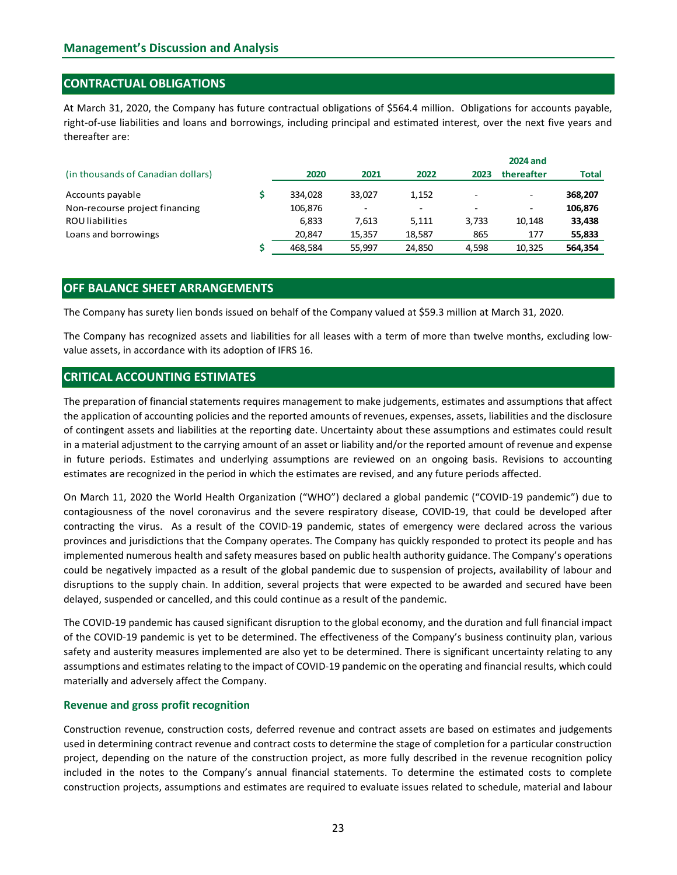# CONTRACTUAL OBLIGATIONS

| <b>Management's Discussion and Analysis</b>                                                                                                                                                                                                            |                          |        |                                   |       |                               |                    |
|--------------------------------------------------------------------------------------------------------------------------------------------------------------------------------------------------------------------------------------------------------|--------------------------|--------|-----------------------------------|-------|-------------------------------|--------------------|
| <b>CONTRACTUAL OBLIGATIONS</b>                                                                                                                                                                                                                         |                          |        |                                   |       |                               |                    |
| At March 31, 2020, the Company has future contractual obligations of \$564.4 million. Obligations for accounts payable,<br>right-of-use liabilities and loans and borrowings, including principal and estimated interest, over the next five years and |                          |        |                                   |       |                               |                    |
| thereafter are:<br>(in thousands of Canadian dollars)                                                                                                                                                                                                  | 2020                     | 2021   | 2022                              | 2023  | <b>2024 and</b><br>thereafter | <b>Total</b>       |
|                                                                                                                                                                                                                                                        |                          |        |                                   |       |                               |                    |
| Accounts payable                                                                                                                                                                                                                                       | \$<br>334,028<br>106,876 | 33,027 | 1,152<br>$\overline{\phantom{a}}$ |       |                               | 368,207<br>106,876 |
| Non-recourse project financing<br><b>ROU</b> liabilities                                                                                                                                                                                               | 6,833                    | 7,613  | 5,111                             | 3,733 | 10,148                        | 33,438             |
| Loans and borrowings                                                                                                                                                                                                                                   | 20,847                   | 15,357 | 18,587                            | 865   | 177                           | 55,833             |

# OFF BALANCE SHEET ARRANGEMENTS

The Company has recognized assets and liabilities for all leases with a term of more than twelve months, excluding lowvalue assets, in accordance with its adoption of IFRS 16.

# CRITICAL ACCOUNTING ESTIMATES

The preparation of financial statements requires management to make judgements, estimates and assumptions that affect the application of accounting policies and the reported amounts of revenues, expenses, assets, liabilities and the disclosure of contingent assets and liabilities at the reporting date. Uncertainty about these assumptions and estimates could result in a material adjustment to the carrying amount of an asset or liability and/or the reported amount of revenue and expense in future periods. Estimates and underlying assumptions are reviewed on an ongoing basis. Revisions to accounting estimates are recognized in the period in which the estimates are revised, and any future periods affected.

On March 11, 2020 the World Health Organization ("WHO") declared a global pandemic ("COVID-19 pandemic") due to contagiousness of the novel coronavirus and the severe respiratory disease, COVID-19, that could be developed after contracting the virus. As a result of the COVID-19 pandemic, states of emergency were declared across the various provinces and jurisdictions that the Company operates. The Company has quickly responded to protect its people and has implemented numerous health and safety measures based on public health authority guidance. The Company's operations could be negatively impacted as a result of the global pandemic due to suspension of projects, availability of labour and disruptions to the supply chain. In addition, several projects that were expected to be awarded and secured have been delayed, suspended or cancelled, and this could continue as a result of the pandemic.

The COVID-19 pandemic has caused significant disruption to the global economy, and the duration and full financial impact of the COVID-19 pandemic is yet to be determined. The effectiveness of the Company's business continuity plan, various safety and austerity measures implemented are also yet to be determined. There is significant uncertainty relating to any assumptions and estimates relating to the impact of COVID-19 pandemic on the operating and financial results, which could materially and adversely affect the Company.

#### Revenue and gross profit recognition

Construction revenue, construction costs, deferred revenue and contract assets are based on estimates and judgements used in determining contract revenue and contract costs to determine the stage of completion for a particular construction project, depending on the nature of the construction project, as more fully described in the revenue recognition policy included in the notes to the Company's annual financial statements. To determine the estimated costs to complete construction projects, assumptions and estimates are required to evaluate issues related to schedule, material and labour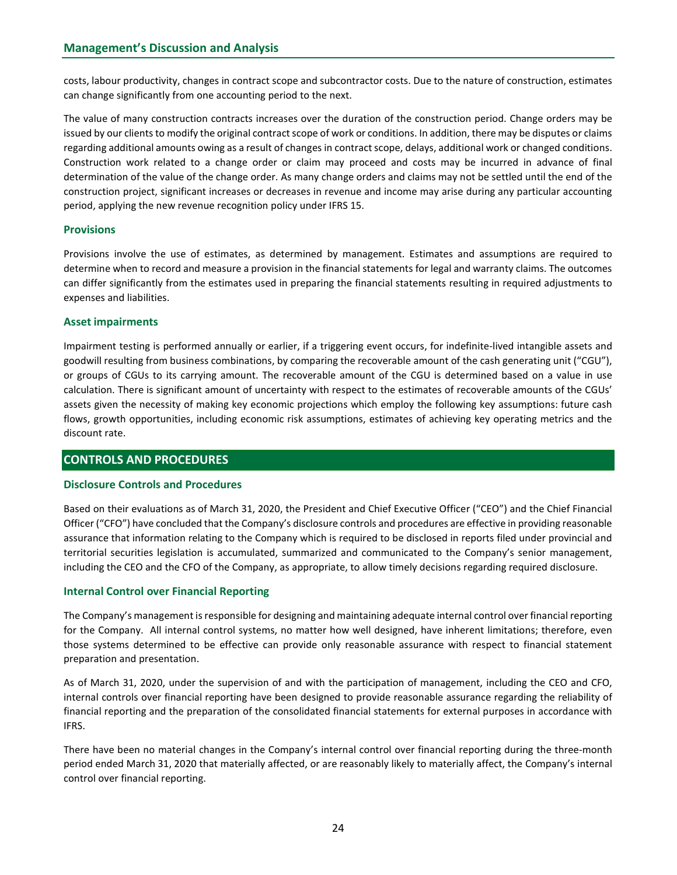costs, labour productivity, changes in contract scope and subcontractor costs. Due to the nature of construction, estimates can change significantly from one accounting period to the next.

The value of many construction contracts increases over the duration of the construction period. Change orders may be issued by our clients to modify the original contract scope of work or conditions. In addition, there may be disputes or claims regarding additional amounts owing as a result of changes in contract scope, delays, additional work or changed conditions. Construction work related to a change order or claim may proceed and costs may be incurred in advance of final determination of the value of the change order. As many change orders and claims may not be settled until the end of the construction project, significant increases or decreases in revenue and income may arise during any particular accounting period, applying the new revenue recognition policy under IFRS 15.

# **Provisions**

Provisions involve the use of estimates, as determined by management. Estimates and assumptions are required to determine when to record and measure a provision in the financial statements for legal and warranty claims. The outcomes can differ significantly from the estimates used in preparing the financial statements resulting in required adjustments to expenses and liabilities.

# Asset impairments

Impairment testing is performed annually or earlier, if a triggering event occurs, for indefinite-lived intangible assets and goodwill resulting from business combinations, by comparing the recoverable amount of the cash generating unit ("CGU"), or groups of CGUs to its carrying amount. The recoverable amount of the CGU is determined based on a value in use calculation. There is significant amount of uncertainty with respect to the estimates of recoverable amounts of the CGUs' assets given the necessity of making key economic projections which employ the following key assumptions: future cash flows, growth opportunities, including economic risk assumptions, estimates of achieving key operating metrics and the discount rate.

# CONTROLS AND PROCEDURES

#### Disclosure Controls and Procedures

Based on their evaluations as of March 31, 2020, the President and Chief Executive Officer ("CEO") and the Chief Financial Officer ("CFO") have concluded that the Company's disclosure controls and procedures are effective in providing reasonable assurance that information relating to the Company which is required to be disclosed in reports filed under provincial and territorial securities legislation is accumulated, summarized and communicated to the Company's senior management, including the CEO and the CFO of the Company, as appropriate, to allow timely decisions regarding required disclosure.

#### Internal Control over Financial Reporting

The Company's management is responsible for designing and maintaining adequate internal control over financial reporting for the Company. All internal control systems, no matter how well designed, have inherent limitations; therefore, even those systems determined to be effective can provide only reasonable assurance with respect to financial statement preparation and presentation.

As of March 31, 2020, under the supervision of and with the participation of management, including the CEO and CFO, internal controls over financial reporting have been designed to provide reasonable assurance regarding the reliability of financial reporting and the preparation of the consolidated financial statements for external purposes in accordance with IFRS.

There have been no material changes in the Company's internal control over financial reporting during the three-month period ended March 31, 2020 that materially affected, or are reasonably likely to materially affect, the Company's internal control over financial reporting.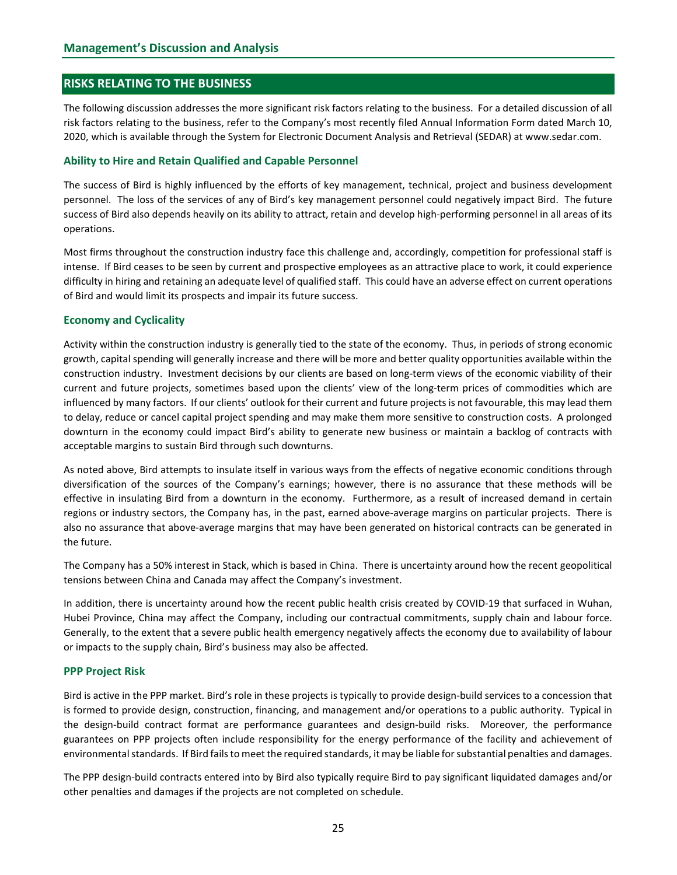### RISKS RELATING TO THE BUSINESS

The following discussion addresses the more significant risk factors relating to the business. For a detailed discussion of all risk factors relating to the business, refer to the Company's most recently filed Annual Information Form dated March 10, 2020, which is available through the System for Electronic Document Analysis and Retrieval (SEDAR) at www.sedar.com.

#### Ability to Hire and Retain Qualified and Capable Personnel

The success of Bird is highly influenced by the efforts of key management, technical, project and business development personnel. The loss of the services of any of Bird's key management personnel could negatively impact Bird. The future success of Bird also depends heavily on its ability to attract, retain and develop high-performing personnel in all areas of its operations.

Most firms throughout the construction industry face this challenge and, accordingly, competition for professional staff is intense. If Bird ceases to be seen by current and prospective employees as an attractive place to work, it could experience difficulty in hiring and retaining an adequate level of qualified staff. This could have an adverse effect on current operations of Bird and would limit its prospects and impair its future success.

#### Economy and Cyclicality

Activity within the construction industry is generally tied to the state of the economy. Thus, in periods of strong economic growth, capital spending will generally increase and there will be more and better quality opportunities available within the construction industry. Investment decisions by our clients are based on long-term views of the economic viability of their current and future projects, sometimes based upon the clients' view of the long-term prices of commodities which are influenced by many factors. If our clients' outlook for their current and future projects is not favourable, this may lead them to delay, reduce or cancel capital project spending and may make them more sensitive to construction costs. A prolonged downturn in the economy could impact Bird's ability to generate new business or maintain a backlog of contracts with acceptable margins to sustain Bird through such downturns.

As noted above, Bird attempts to insulate itself in various ways from the effects of negative economic conditions through diversification of the sources of the Company's earnings; however, there is no assurance that these methods will be effective in insulating Bird from a downturn in the economy. Furthermore, as a result of increased demand in certain regions or industry sectors, the Company has, in the past, earned above-average margins on particular projects. There is also no assurance that above-average margins that may have been generated on historical contracts can be generated in the future.

The Company has a 50% interest in Stack, which is based in China. There is uncertainty around how the recent geopolitical tensions between China and Canada may affect the Company's investment.

In addition, there is uncertainty around how the recent public health crisis created by COVID-19 that surfaced in Wuhan, Hubei Province, China may affect the Company, including our contractual commitments, supply chain and labour force. Generally, to the extent that a severe public health emergency negatively affects the economy due to availability of labour or impacts to the supply chain, Bird's business may also be affected.

#### PPP Project Risk

Bird is active in the PPP market. Bird's role in these projects is typically to provide design-build services to a concession that is formed to provide design, construction, financing, and management and/or operations to a public authority. Typical in the design-build contract format are performance guarantees and design-build risks. Moreover, the performance guarantees on PPP projects often include responsibility for the energy performance of the facility and achievement of environmental standards. If Bird fails to meet the required standards, it may be liable for substantial penalties and damages.

The PPP design-build contracts entered into by Bird also typically require Bird to pay significant liquidated damages and/or other penalties and damages if the projects are not completed on schedule.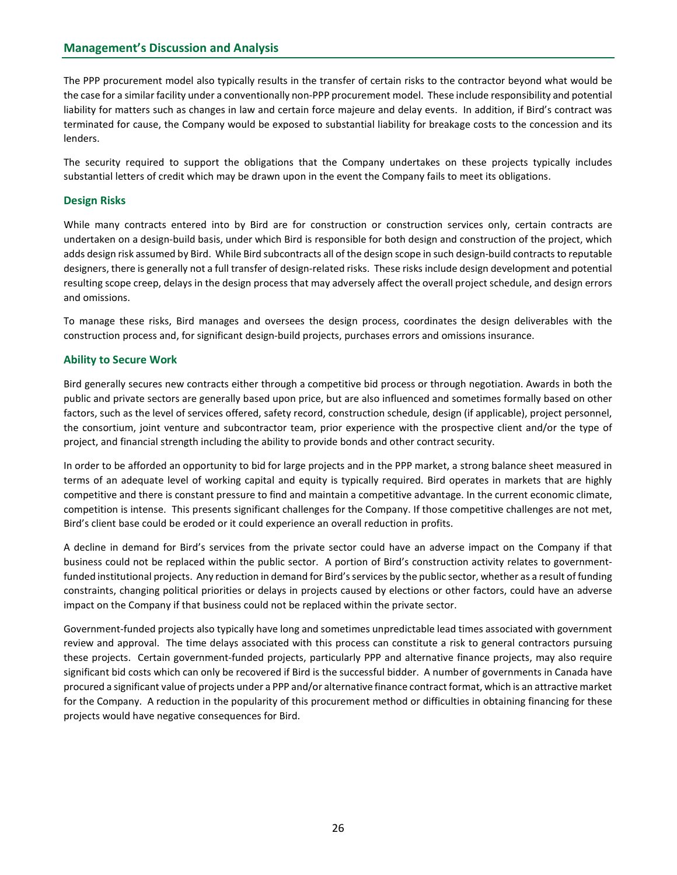The PPP procurement model also typically results in the transfer of certain risks to the contractor beyond what would be the case for a similar facility under a conventionally non-PPP procurement model. These include responsibility and potential liability for matters such as changes in law and certain force majeure and delay events. In addition, if Bird's contract was terminated for cause, the Company would be exposed to substantial liability for breakage costs to the concession and its lenders.

The security required to support the obligations that the Company undertakes on these projects typically includes substantial letters of credit which may be drawn upon in the event the Company fails to meet its obligations.

# Design Risks

While many contracts entered into by Bird are for construction or construction services only, certain contracts are undertaken on a design-build basis, under which Bird is responsible for both design and construction of the project, which adds design risk assumed by Bird. While Bird subcontracts all of the design scope in such design-build contracts to reputable designers, there is generally not a full transfer of design-related risks. These risks include design development and potential resulting scope creep, delays in the design process that may adversely affect the overall project schedule, and design errors and omissions.

To manage these risks, Bird manages and oversees the design process, coordinates the design deliverables with the construction process and, for significant design-build projects, purchases errors and omissions insurance.

#### Ability to Secure Work

Bird generally secures new contracts either through a competitive bid process or through negotiation. Awards in both the public and private sectors are generally based upon price, but are also influenced and sometimes formally based on other factors, such as the level of services offered, safety record, construction schedule, design (if applicable), project personnel, the consortium, joint venture and subcontractor team, prior experience with the prospective client and/or the type of project, and financial strength including the ability to provide bonds and other contract security.

In order to be afforded an opportunity to bid for large projects and in the PPP market, a strong balance sheet measured in terms of an adequate level of working capital and equity is typically required. Bird operates in markets that are highly competitive and there is constant pressure to find and maintain a competitive advantage. In the current economic climate, competition is intense. This presents significant challenges for the Company. If those competitive challenges are not met, Bird's client base could be eroded or it could experience an overall reduction in profits.

A decline in demand for Bird's services from the private sector could have an adverse impact on the Company if that business could not be replaced within the public sector. A portion of Bird's construction activity relates to governmentfunded institutional projects. Any reduction in demand for Bird's services by the public sector, whether as a result of funding constraints, changing political priorities or delays in projects caused by elections or other factors, could have an adverse impact on the Company if that business could not be replaced within the private sector.

Government-funded projects also typically have long and sometimes unpredictable lead times associated with government review and approval. The time delays associated with this process can constitute a risk to general contractors pursuing these projects. Certain government-funded projects, particularly PPP and alternative finance projects, may also require significant bid costs which can only be recovered if Bird is the successful bidder. A number of governments in Canada have procured a significant value of projects under a PPP and/or alternative finance contract format, which is an attractive market for the Company. A reduction in the popularity of this procurement method or difficulties in obtaining financing for these projects would have negative consequences for Bird.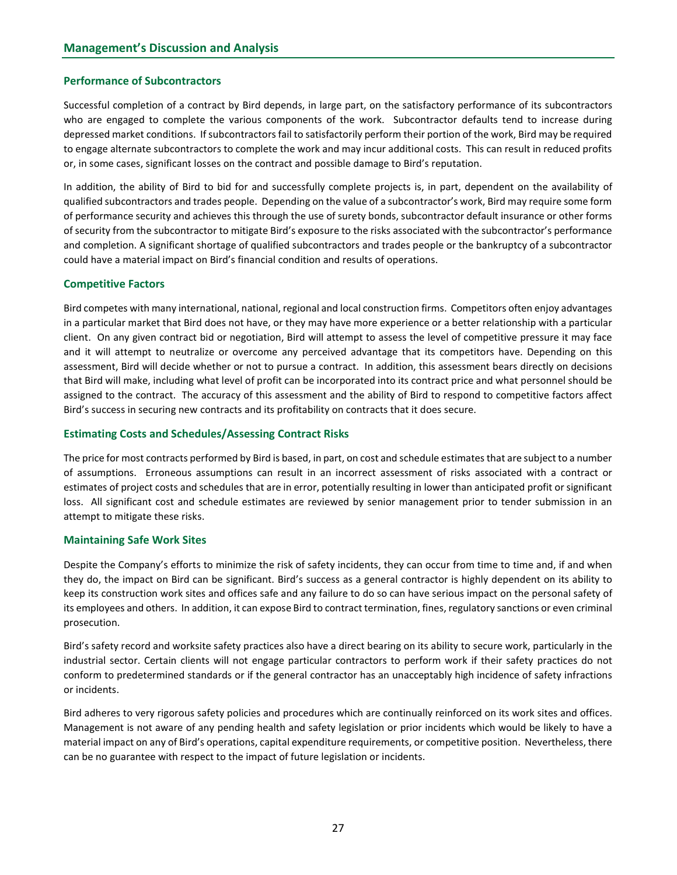# Performance of Subcontractors

Successful completion of a contract by Bird depends, in large part, on the satisfactory performance of its subcontractors who are engaged to complete the various components of the work. Subcontractor defaults tend to increase during depressed market conditions. If subcontractors fail to satisfactorily perform their portion of the work, Bird may be required to engage alternate subcontractors to complete the work and may incur additional costs. This can result in reduced profits or, in some cases, significant losses on the contract and possible damage to Bird's reputation.

In addition, the ability of Bird to bid for and successfully complete projects is, in part, dependent on the availability of qualified subcontractors and trades people. Depending on the value of a subcontractor's work, Bird may require some form of performance security and achieves this through the use of surety bonds, subcontractor default insurance or other forms of security from the subcontractor to mitigate Bird's exposure to the risks associated with the subcontractor's performance and completion. A significant shortage of qualified subcontractors and trades people or the bankruptcy of a subcontractor could have a material impact on Bird's financial condition and results of operations.

# Competitive Factors

Bird competes with many international, national, regional and local construction firms. Competitors often enjoy advantages in a particular market that Bird does not have, or they may have more experience or a better relationship with a particular client. On any given contract bid or negotiation, Bird will attempt to assess the level of competitive pressure it may face and it will attempt to neutralize or overcome any perceived advantage that its competitors have. Depending on this assessment, Bird will decide whether or not to pursue a contract. In addition, this assessment bears directly on decisions that Bird will make, including what level of profit can be incorporated into its contract price and what personnel should be assigned to the contract. The accuracy of this assessment and the ability of Bird to respond to competitive factors affect Bird's success in securing new contracts and its profitability on contracts that it does secure.

# Estimating Costs and Schedules/Assessing Contract Risks

The price for most contracts performed by Bird is based, in part, on cost and schedule estimates that are subject to a number of assumptions. Erroneous assumptions can result in an incorrect assessment of risks associated with a contract or estimates of project costs and schedules that are in error, potentially resulting in lower than anticipated profit or significant loss. All significant cost and schedule estimates are reviewed by senior management prior to tender submission in an attempt to mitigate these risks.

#### Maintaining Safe Work Sites

Despite the Company's efforts to minimize the risk of safety incidents, they can occur from time to time and, if and when they do, the impact on Bird can be significant. Bird's success as a general contractor is highly dependent on its ability to keep its construction work sites and offices safe and any failure to do so can have serious impact on the personal safety of its employees and others. In addition, it can expose Bird to contract termination, fines, regulatory sanctions or even criminal prosecution.

Bird's safety record and worksite safety practices also have a direct bearing on its ability to secure work, particularly in the industrial sector. Certain clients will not engage particular contractors to perform work if their safety practices do not conform to predetermined standards or if the general contractor has an unacceptably high incidence of safety infractions or incidents.

Bird adheres to very rigorous safety policies and procedures which are continually reinforced on its work sites and offices. Management is not aware of any pending health and safety legislation or prior incidents which would be likely to have a material impact on any of Bird's operations, capital expenditure requirements, or competitive position. Nevertheless, there can be no guarantee with respect to the impact of future legislation or incidents.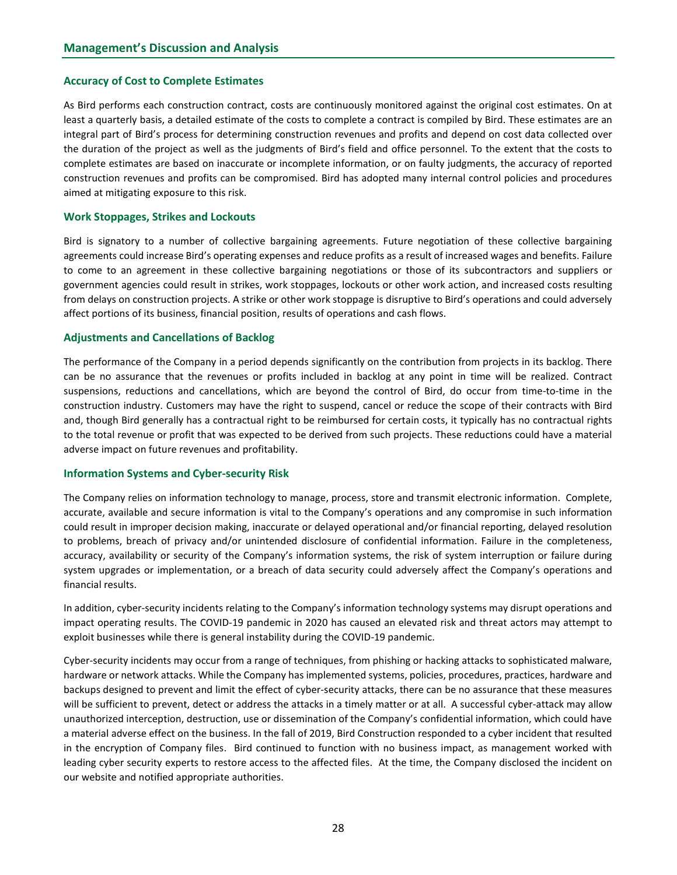#### Accuracy of Cost to Complete Estimates

As Bird performs each construction contract, costs are continuously monitored against the original cost estimates. On at least a quarterly basis, a detailed estimate of the costs to complete a contract is compiled by Bird. These estimates are an integral part of Bird's process for determining construction revenues and profits and depend on cost data collected over the duration of the project as well as the judgments of Bird's field and office personnel. To the extent that the costs to complete estimates are based on inaccurate or incomplete information, or on faulty judgments, the accuracy of reported construction revenues and profits can be compromised. Bird has adopted many internal control policies and procedures aimed at mitigating exposure to this risk.

#### Work Stoppages, Strikes and Lockouts

Bird is signatory to a number of collective bargaining agreements. Future negotiation of these collective bargaining agreements could increase Bird's operating expenses and reduce profits as a result of increased wages and benefits. Failure to come to an agreement in these collective bargaining negotiations or those of its subcontractors and suppliers or government agencies could result in strikes, work stoppages, lockouts or other work action, and increased costs resulting from delays on construction projects. A strike or other work stoppage is disruptive to Bird's operations and could adversely affect portions of its business, financial position, results of operations and cash flows.

#### Adjustments and Cancellations of Backlog

The performance of the Company in a period depends significantly on the contribution from projects in its backlog. There can be no assurance that the revenues or profits included in backlog at any point in time will be realized. Contract suspensions, reductions and cancellations, which are beyond the control of Bird, do occur from time-to-time in the construction industry. Customers may have the right to suspend, cancel or reduce the scope of their contracts with Bird and, though Bird generally has a contractual right to be reimbursed for certain costs, it typically has no contractual rights to the total revenue or profit that was expected to be derived from such projects. These reductions could have a material adverse impact on future revenues and profitability.

#### Information Systems and Cyber-security Risk

The Company relies on information technology to manage, process, store and transmit electronic information. Complete, accurate, available and secure information is vital to the Company's operations and any compromise in such information could result in improper decision making, inaccurate or delayed operational and/or financial reporting, delayed resolution to problems, breach of privacy and/or unintended disclosure of confidential information. Failure in the completeness, accuracy, availability or security of the Company's information systems, the risk of system interruption or failure during system upgrades or implementation, or a breach of data security could adversely affect the Company's operations and financial results.

In addition, cyber-security incidents relating to the Company's information technology systems may disrupt operations and impact operating results. The COVID-19 pandemic in 2020 has caused an elevated risk and threat actors may attempt to exploit businesses while there is general instability during the COVID-19 pandemic.

Cyber-security incidents may occur from a range of techniques, from phishing or hacking attacks to sophisticated malware, hardware or network attacks. While the Company has implemented systems, policies, procedures, practices, hardware and backups designed to prevent and limit the effect of cyber-security attacks, there can be no assurance that these measures will be sufficient to prevent, detect or address the attacks in a timely matter or at all. A successful cyber-attack may allow unauthorized interception, destruction, use or dissemination of the Company's confidential information, which could have a material adverse effect on the business. In the fall of 2019, Bird Construction responded to a cyber incident that resulted in the encryption of Company files. Bird continued to function with no business impact, as management worked with leading cyber security experts to restore access to the affected files. At the time, the Company disclosed the incident on our website and notified appropriate authorities.